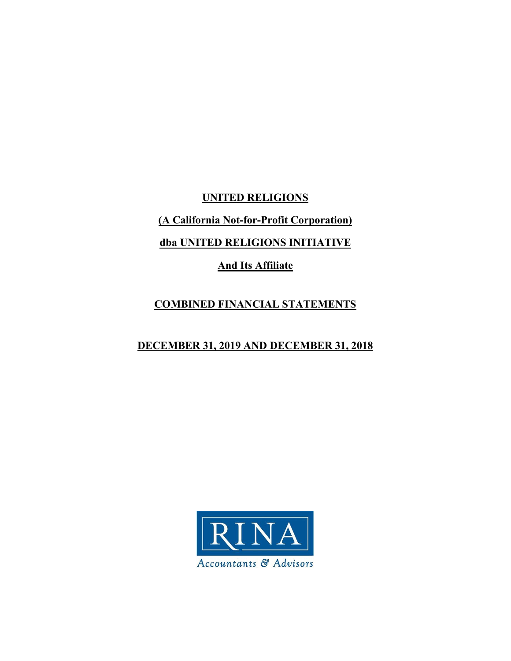**UNITED RELIGIONS** 

**(A California Not-for-Profit Corporation)** 

**dba UNITED RELIGIONS INITIATIVE** 

**And Its Affiliate** 

# **COMBINED FINANCIAL STATEMENTS**

# **DECEMBER 31, 2019 AND DECEMBER 31, 2018**

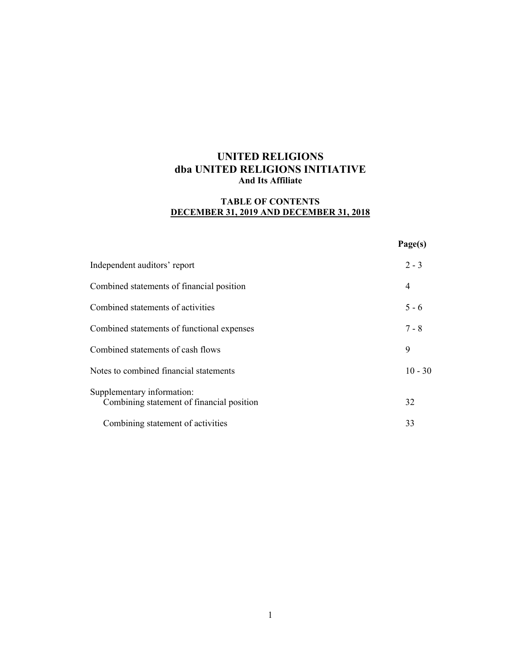# **TABLE OF CONTENTS DECEMBER 31, 2019 AND DECEMBER 31, 2018**

|                                                                         | Page(s)   |
|-------------------------------------------------------------------------|-----------|
| Independent auditors' report                                            | $2 - 3$   |
| Combined statements of financial position                               | 4         |
| Combined statements of activities                                       | $5 - 6$   |
| Combined statements of functional expenses                              | $7 - 8$   |
| Combined statements of cash flows                                       | 9         |
| Notes to combined financial statements                                  | $10 - 30$ |
| Supplementary information:<br>Combining statement of financial position | 32        |
| Combining statement of activities                                       | 33        |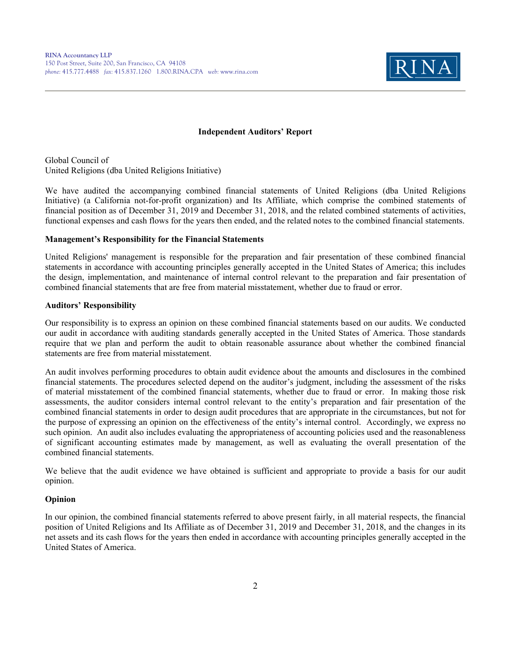

#### **Independent Auditors' Report**

Global Council of United Religions (dba United Religions Initiative)

We have audited the accompanying combined financial statements of United Religions (dba United Religions Initiative) (a California not-for-profit organization) and Its Affiliate, which comprise the combined statements of financial position as of December 31, 2019 and December 31, 2018, and the related combined statements of activities, functional expenses and cash flows for the years then ended, and the related notes to the combined financial statements.

#### **Management's Responsibility for the Financial Statements**

United Religions' management is responsible for the preparation and fair presentation of these combined financial statements in accordance with accounting principles generally accepted in the United States of America; this includes the design, implementation, and maintenance of internal control relevant to the preparation and fair presentation of combined financial statements that are free from material misstatement, whether due to fraud or error.

#### **Auditors' Responsibility**

Our responsibility is to express an opinion on these combined financial statements based on our audits. We conducted our audit in accordance with auditing standards generally accepted in the United States of America. Those standards require that we plan and perform the audit to obtain reasonable assurance about whether the combined financial statements are free from material misstatement.

An audit involves performing procedures to obtain audit evidence about the amounts and disclosures in the combined financial statements. The procedures selected depend on the auditor's judgment, including the assessment of the risks of material misstatement of the combined financial statements, whether due to fraud or error. In making those risk assessments, the auditor considers internal control relevant to the entity's preparation and fair presentation of the combined financial statements in order to design audit procedures that are appropriate in the circumstances, but not for the purpose of expressing an opinion on the effectiveness of the entity's internal control. Accordingly, we express no such opinion. An audit also includes evaluating the appropriateness of accounting policies used and the reasonableness of significant accounting estimates made by management, as well as evaluating the overall presentation of the combined financial statements.

We believe that the audit evidence we have obtained is sufficient and appropriate to provide a basis for our audit opinion.

#### **Opinion**

In our opinion, the combined financial statements referred to above present fairly, in all material respects, the financial position of United Religions and Its Affiliate as of December 31, 2019 and December 31, 2018, and the changes in its net assets and its cash flows for the years then ended in accordance with accounting principles generally accepted in the United States of America.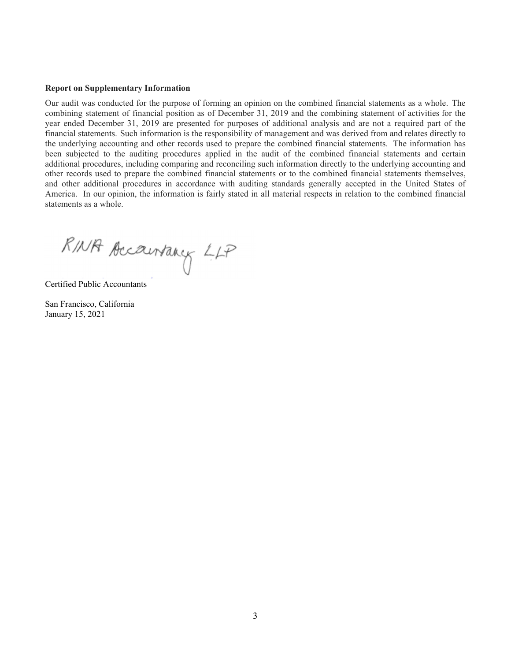#### **Report on Supplementary Information**

Our audit was conducted for the purpose of forming an opinion on the combined financial statements as a whole. The combining statement of financial position as of December 31, 2019 and the combining statement of activities for the year ended December 31, 2019 are presented for purposes of additional analysis and are not a required part of the financial statements. Such information is the responsibility of management and was derived from and relates directly to the underlying accounting and other records used to prepare the combined financial statements. The information has been subjected to the auditing procedures applied in the audit of the combined financial statements and certain additional procedures, including comparing and reconciling such information directly to the underlying accounting and other records used to prepare the combined financial statements or to the combined financial statements themselves, and other additional procedures in accordance with auditing standards generally accepted in the United States of America. In our opinion, the information is fairly stated in all material respects in relation to the combined financial statements as a whole.

RINA Accountancy LLP

Certified Public Accountants

San Francisco, California January 15, 2021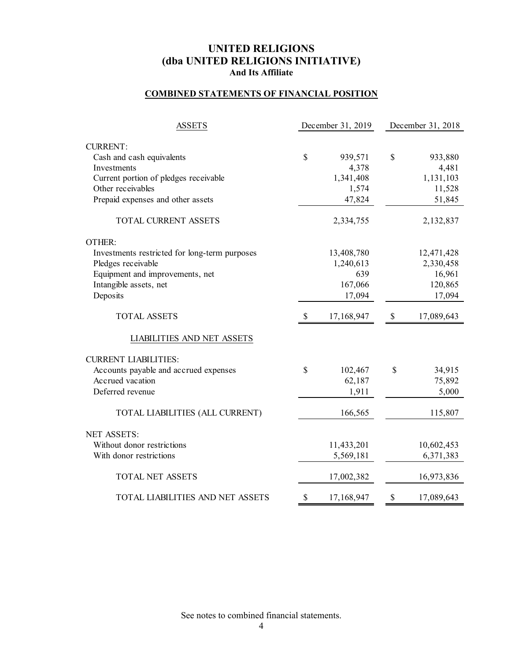# **COMBINED STATEMENTS OF FINANCIAL POSITION**

| <b>ASSETS</b>                                        |              | December 31, 2019  | December 31, 2018 |                    |  |  |
|------------------------------------------------------|--------------|--------------------|-------------------|--------------------|--|--|
|                                                      |              |                    |                   |                    |  |  |
| <b>CURRENT:</b>                                      |              |                    |                   |                    |  |  |
| Cash and cash equivalents                            | $\mathbb{S}$ | 939,571            | \$                | 933,880            |  |  |
| Investments<br>Current portion of pledges receivable |              | 4,378<br>1,341,408 |                   | 4,481<br>1,131,103 |  |  |
| Other receivables                                    |              | 1,574              |                   | 11,528             |  |  |
| Prepaid expenses and other assets                    |              | 47,824             |                   | 51,845             |  |  |
|                                                      |              |                    |                   |                    |  |  |
| TOTAL CURRENT ASSETS                                 |              | 2,334,755          |                   | 2,132,837          |  |  |
| OTHER:                                               |              |                    |                   |                    |  |  |
| Investments restricted for long-term purposes        |              | 13,408,780         |                   | 12,471,428         |  |  |
| Pledges receivable                                   |              | 1,240,613          |                   | 2,330,458          |  |  |
| Equipment and improvements, net                      |              | 639                |                   | 16,961             |  |  |
| Intangible assets, net                               |              | 167,066            |                   | 120,865            |  |  |
| Deposits                                             |              | 17,094             |                   | 17,094             |  |  |
| <b>TOTAL ASSETS</b>                                  | \$           | 17,168,947         | \$                | 17,089,643         |  |  |
| LIABILITIES AND NET ASSETS                           |              |                    |                   |                    |  |  |
| <b>CURRENT LIABILITIES:</b>                          |              |                    |                   |                    |  |  |
| Accounts payable and accrued expenses                | \$           | 102,467            | \$                | 34,915             |  |  |
| Accrued vacation                                     |              | 62,187             |                   | 75,892             |  |  |
| Deferred revenue                                     |              | 1,911              |                   | 5,000              |  |  |
| TOTAL LIABILITIES (ALL CURRENT)                      |              | 166,565            |                   | 115,807            |  |  |
| <b>NET ASSETS:</b>                                   |              |                    |                   |                    |  |  |
| Without donor restrictions                           |              | 11,433,201         |                   | 10,602,453         |  |  |
| With donor restrictions                              |              | 5,569,181          |                   | 6,371,383          |  |  |
|                                                      |              |                    |                   |                    |  |  |
| TOTAL NET ASSETS                                     |              | 17,002,382         |                   | 16,973,836         |  |  |
| TOTAL LIABILITIES AND NET ASSETS                     | \$           | 17,168,947         | \$                | 17,089,643         |  |  |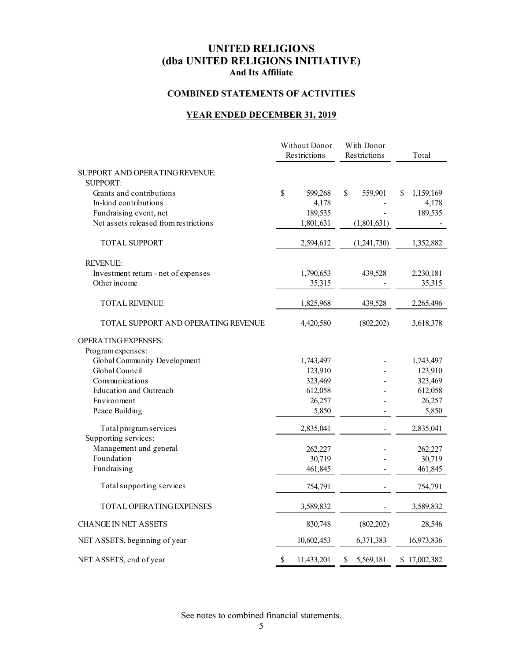# **COMBINED STATEMENTS OF ACTIVITIES**

# **YEAR ENDED DECEMBER 31, 2019**

|                                                   | Without Donor<br>Restrictions | With Donor<br>Restrictions | Total          |
|---------------------------------------------------|-------------------------------|----------------------------|----------------|
| SUPPORT AND OPERATING REVENUE:<br><b>SUPPORT:</b> |                               |                            |                |
| Grants and contributions                          | \$<br>599,268                 | $\mathbb S$<br>559,901     | 1,159,169<br>S |
| In-kind contributions                             | 4,178                         |                            | 4,178          |
| Fundraising event, net                            | 189,535                       |                            | 189,535        |
| Net assets released from restrictions             | 1,801,631                     | (1,801,631)                |                |
| <b>TOTAL SUPPORT</b>                              | 2,594,612                     | (1,241,730)                | 1,352,882      |
| <b>REVENUE:</b>                                   |                               |                            |                |
| Investment return - net of expenses               | 1,790,653                     | 439,528                    | 2,230,181      |
| Other income                                      | 35,315                        |                            | 35,315         |
| <b>TOTAL REVENUE</b>                              | 1,825,968                     | 439,528                    | 2,265,496      |
| TOTAL SUPPORT AND OPERATING REVENUE               | 4,420,580                     | (802, 202)                 | 3,618,378      |
| <b>OPERATING EXPENSES:</b>                        |                               |                            |                |
| Program expenses:                                 |                               |                            |                |
| Global Community Development                      | 1,743,497                     |                            | 1,743,497      |
| Global Council                                    | 123,910                       |                            | 123,910        |
| Communications                                    | 323,469                       |                            | 323,469        |
| <b>Education and Outreach</b>                     | 612,058                       |                            | 612,058        |
| Environment                                       | 26,257                        |                            | 26,257         |
| Peace Building                                    | 5,850                         |                            | 5,850          |
| Total program services<br>Supporting services:    | 2,835,041                     |                            | 2,835,041      |
| Management and general                            | 262,227                       |                            | 262,227        |
| Foundation                                        | 30,719                        |                            | 30,719         |
| Fundraising                                       | 461,845                       |                            | 461,845        |
| Total supporting services                         | 754,791                       |                            | 754,791        |
|                                                   |                               |                            |                |
| <b>TOTAL OPERATING EXPENSES</b>                   | 3,589,832                     |                            | 3,589,832      |
| <b>CHANGE IN NET ASSETS</b>                       | 830,748                       | (802, 202)                 | 28,546         |
| NET ASSETS, beginning of year                     | 10,602,453                    | 6,371,383                  | 16,973,836     |
| NET ASSETS, end of year                           | \$<br>11,433,201              | \$<br>5,569,181            | \$17,002,382   |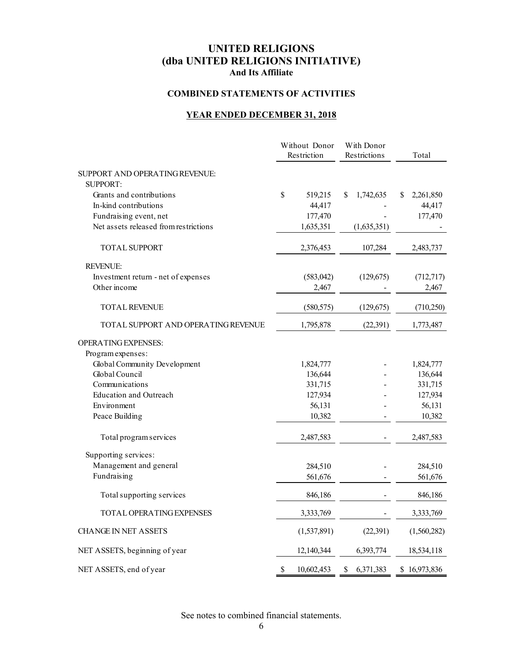# **COMBINED STATEMENTS OF ACTIVITIES**

# **YEAR ENDED DECEMBER 31, 2018**

|                                       |    | Without Donor<br>Restriction | With Donor<br>Restrictions |   | Total        |
|---------------------------------------|----|------------------------------|----------------------------|---|--------------|
| SUPPORT AND OPERATING REVENUE:        |    |                              |                            |   |              |
| <b>SUPPORT:</b>                       |    |                              |                            |   |              |
| Grants and contributions              | \$ | 519,215                      | \$<br>1,742,635            | S | 2,261,850    |
| In-kind contributions                 |    | 44,417                       |                            |   | 44,417       |
| Fundraising event, net                |    | 177,470                      |                            |   | 177,470      |
| Net assets released from restrictions |    | 1,635,351                    | (1,635,351)                |   |              |
| <b>TOTAL SUPPORT</b>                  |    | 2,376,453                    | 107,284                    |   | 2,483,737    |
| <b>REVENUE:</b>                       |    |                              |                            |   |              |
| Investment return - net of expenses   |    | (583, 042)                   | (129, 675)                 |   | (712, 717)   |
| Other income                          |    | 2,467                        |                            |   | 2,467        |
| <b>TOTAL REVENUE</b>                  |    | (580, 575)                   | (129, 675)                 |   | (710, 250)   |
| TOTAL SUPPORT AND OPERATING REVENUE   |    | 1,795,878                    | (22, 391)                  |   | 1,773,487    |
| <b>OPERATING EXPENSES:</b>            |    |                              |                            |   |              |
| Program expenses:                     |    |                              |                            |   |              |
| Global Community Development          |    | 1,824,777                    |                            |   | 1,824,777    |
| Global Council                        |    | 136,644                      |                            |   | 136,644      |
| Communications                        |    | 331,715                      |                            |   | 331,715      |
| <b>Education and Outreach</b>         |    | 127,934                      |                            |   | 127,934      |
| Environment                           |    | 56,131                       |                            |   | 56,131       |
| Peace Building                        |    | 10,382                       |                            |   | 10,382       |
| Total program services                |    | 2,487,583                    |                            |   | 2,487,583    |
| Supporting services:                  |    |                              |                            |   |              |
| Management and general                |    | 284,510                      |                            |   | 284,510      |
| Fundraising                           |    | 561,676                      |                            |   | 561,676      |
| Total supporting services             |    | 846,186                      |                            |   | 846,186      |
| <b>TOTAL OPERATING EXPENSES</b>       |    | 3,333,769                    |                            |   | 3,333,769    |
| <b>CHANGE IN NET ASSETS</b>           |    | (1,537,891)                  | (22, 391)                  |   | (1,560,282)  |
| NET ASSETS, beginning of year         |    | 12,140,344                   | 6,393,774                  |   | 18,534,118   |
| NET ASSETS, end of year               | \$ | 10,602,453                   | \$<br>6,371,383            |   | \$16,973,836 |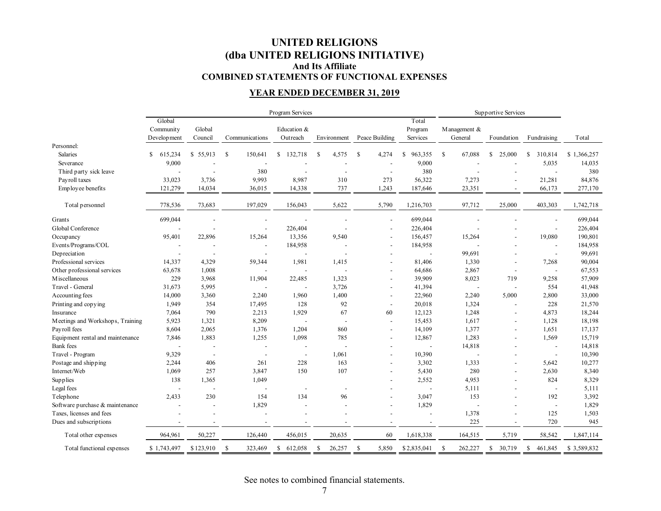# **UNITED RELIGIONS (dba UNITED RELIGIONS INITIATIVE) And Its Affiliate COMBINED STATEMENTS OF FUNCTIONAL EXPENSES**

# **YEAR ENDED DECEMBER 31, 2019**

|                                  | Program Services |                          |                          |                          |                          |                          |                          | Supportive Services      |                          |                          |             |
|----------------------------------|------------------|--------------------------|--------------------------|--------------------------|--------------------------|--------------------------|--------------------------|--------------------------|--------------------------|--------------------------|-------------|
|                                  | Global           | Total                    |                          |                          |                          |                          |                          |                          |                          |                          |             |
|                                  | Community        | Global                   |                          | Education &              |                          |                          | Program                  | Management &             |                          |                          |             |
|                                  | Development      | Council                  | Communications           | Outreach                 | Environment              | Peace Building           | Services                 | General                  | Foundation               | Fundraising              | Total       |
| Personnel:                       |                  |                          |                          |                          |                          |                          |                          |                          |                          |                          |             |
| <b>Salaries</b>                  | 615,234<br>S.    | \$55,913                 | S<br>150,641             | 132,718<br>\$            | S<br>4,575               | -S<br>4,274              | 963,355<br>\$            | S<br>67,088              | \$<br>25,000             | 310,814<br>S.            | \$1,366,257 |
| Severance                        | 9,000            |                          |                          |                          |                          |                          | 9,000                    |                          |                          | 5,035                    | 14,035      |
| Third party sick leave           |                  |                          | 380                      | $\overline{\phantom{a}}$ |                          | $\overline{\phantom{a}}$ | 380                      |                          |                          | $\overline{\phantom{a}}$ | 380         |
| Payroll taxes                    | 33,023           | 3,736                    | 9,993                    | 8,987                    | 310                      | 273                      | 56,322                   | 7,273                    | $\overline{a}$           | 21,281                   | 84,876      |
| Employee benefits                | 121,279          | 14,034                   | 36,015                   | 14,338                   | 737                      | 1,243                    | 187,646                  | 23,351                   |                          | 66,173                   | 277,170     |
| Total personnel                  | 778,536          | 73,683                   | 197,029                  | 156,043                  | 5,622                    | 5,790                    | 1,216,703                | 97,712                   | 25,000                   | 403,303                  | 1,742,718   |
| Grants                           | 699,044          |                          |                          |                          |                          | $\blacksquare$           | 699,044                  |                          |                          |                          | 699,044     |
| Global Conference                |                  |                          | $\overline{\phantom{a}}$ | 226,404                  |                          | $\overline{\phantom{a}}$ | 226,404                  |                          |                          | $\overline{\phantom{a}}$ | 226,404     |
| Occupancy                        | 95,401           | 22,896                   | 15,264                   | 13,356                   | 9,540                    | $\blacksquare$           | 156,457                  | 15,264                   |                          | 19,080                   | 190,801     |
| Events/Programs/COL              |                  |                          | $\overline{a}$           | 184,958                  |                          | $\overline{\phantom{a}}$ | 184,958                  |                          |                          | $\overline{\phantom{a}}$ | 184,958     |
| Depreciation                     | ÷                |                          | $\overline{\phantom{a}}$ |                          |                          | $\overline{\phantom{a}}$ | $\overline{\phantom{a}}$ | 99,691                   |                          | $\overline{\phantom{a}}$ | 99,691      |
| Professional services            | 14,337           | 4,329                    | 59,344                   | 1,981                    | 1,415                    |                          | 81,406                   | 1,330                    | $\overline{a}$           | 7,268                    | 90,004      |
| Other professional services      | 63,678           | 1,008                    |                          |                          |                          | $\overline{\phantom{a}}$ | 64,686                   | 2,867                    | $\overline{\phantom{a}}$ | $\overline{\phantom{a}}$ | 67,553      |
| M iscellaneous                   | 229              | 3,968                    | 11,904                   | 22,485                   | 1,323                    |                          | 39,909                   | 8,023                    | 719                      | 9,258                    | 57,909      |
| Travel - General                 | 31,673           | 5,995                    |                          |                          | 3,726                    |                          | 41,394                   | $\overline{\phantom{a}}$ | $\overline{\phantom{a}}$ | 554                      | 41,948      |
| Accounting fees                  | 14,000           | 3,360                    | 2,240                    | 1,960                    | 1,400                    | $\overline{\phantom{a}}$ | 22,960                   | 2,240                    | 5,000                    | 2,800                    | 33,000      |
| Printing and copying             | 1,949            | 354                      | 17,495                   | 128                      | 92                       | $\overline{\phantom{a}}$ | 20,018                   | 1,324                    | $\overline{\phantom{a}}$ | 228                      | 21,570      |
| Insurance                        | 7,064            | 790                      | 2,213                    | 1,929                    | 67                       | 60                       | 12,123                   | 1,248                    |                          | 4,873                    | 18,244      |
| Meetings and Workshops, Training | 5,923            | 1,321                    | 8,209                    | $\sim$                   | $\overline{\phantom{a}}$ | $\blacksquare$           | 15,453                   | 1,617                    | $\overline{a}$           | 1,128                    | 18,198      |
| Payroll fees                     | 8,604            | 2,065                    | 1,376                    | 1,204                    | 860                      | $\overline{\phantom{a}}$ | 14,109                   | 1,377                    | $\overline{\phantom{a}}$ | 1,651                    | 17,137      |
| Equipment rental and maintenance | 7,846            | 1,883                    | 1,255                    | 1,098                    | 785                      | $\overline{\phantom{a}}$ | 12,867                   | 1,283                    |                          | 1,569                    | 15,719      |
| <b>Bank</b> fees                 |                  |                          | $\overline{a}$           | $\overline{\phantom{a}}$ |                          | $\overline{\phantom{a}}$ |                          | 14,818                   | $\overline{a}$           | $\sim$                   | 14,818      |
| Travel - Program                 | 9,329            | $\overline{\phantom{a}}$ | $\overline{a}$           | $\overline{\phantom{a}}$ | 1,061                    | $\overline{\phantom{a}}$ | 10,390                   |                          |                          | $\overline{\phantom{a}}$ | 10,390      |
| Postage and shipping             | 2,244            | 406                      | 261                      | 228                      | 163                      |                          | 3,302                    | 1,333                    |                          | 5,642                    | 10,277      |
| $\operatorname{Internet/Web}$    | 1,069            | 257                      | 3,847                    | 150                      | 107                      | $\overline{\phantom{a}}$ | 5,430                    | 280                      | $\overline{a}$           | 2,630                    | 8,340       |
| Supplies                         | 138              | 1,365                    | 1,049                    |                          |                          |                          | 2,552                    | 4,953                    | $\overline{a}$           | 824                      | 8,329       |
| Legal fees                       | $\overline{a}$   | $\overline{\phantom{a}}$ | $\overline{a}$           | $\overline{\phantom{a}}$ |                          |                          | $\overline{\phantom{a}}$ | 5,111                    |                          | $\overline{\phantom{a}}$ | 5,111       |
| Telephone                        | 2,433            | 230                      | 154                      | 134                      | 96                       | $\overline{\phantom{a}}$ | 3,047                    | 153                      | $\overline{a}$           | 192                      | 3,392       |
| Software purchase & maintenance  | L,               |                          | 1,829                    | $\overline{\phantom{a}}$ |                          | $\overline{\phantom{a}}$ | 1,829                    |                          | $\overline{\phantom{a}}$ | $\overline{\phantom{a}}$ | 1,829       |
| Taxes, licenses and fees         |                  |                          |                          | $\overline{a}$           |                          |                          |                          | 1,378                    | $\overline{a}$           | 125                      | 1,503       |
| Dues and subscriptions           |                  |                          |                          |                          |                          | $\overline{\phantom{a}}$ |                          | 225                      |                          | 720                      | 945         |
| Total other expenses             | 964,961          | 50,227                   | 126,440                  | 456,015                  | 20,635                   | 60                       | 1,618,338                | 164,515                  | 5,719                    | 58,542                   | 1,847,114   |
| Total functional expenses        | \$1,743,497      | \$123,910                | S<br>323,469             | \$<br>612,058            | \$<br>26,257             | 5,850<br>-S              | \$2,835,041              | \$<br>262,227            | 30,719<br>\$             | 461,845<br>\$            | \$3,589,832 |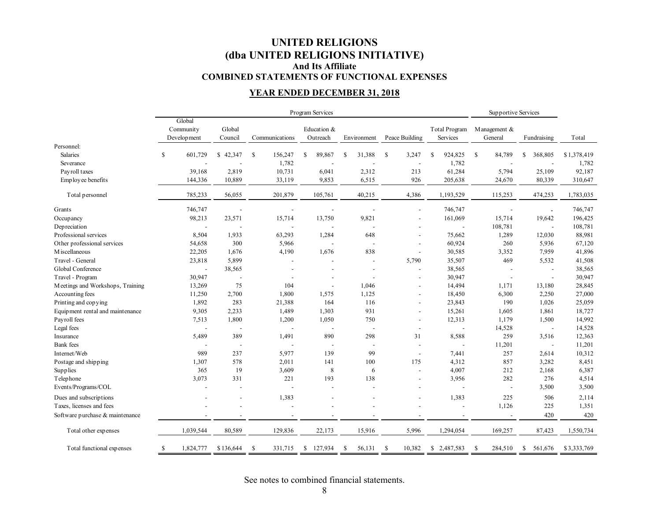# **UNITED RELIGIONS (dba UNITED RELIGIONS INITIATIVE) And Its Affiliate COMBINED STATEMENTS OF FUNCTIONAL EXPENSES**

# **YEAR ENDED DECEMBER 31, 2018**

|                                  | Program Services |           |                |              |                          |                          |               |                          | Supportive Services      |             |  |
|----------------------------------|------------------|-----------|----------------|--------------|--------------------------|--------------------------|---------------|--------------------------|--------------------------|-------------|--|
|                                  | Global           |           |                |              |                          |                          |               |                          |                          |             |  |
|                                  | Community        | Global    |                | Education &  |                          |                          | Total Program | Management &             |                          |             |  |
|                                  | Development      | Council   | Communications | Outreach     | Environment              | Peace Building           | Services      | General                  | Fundraising              | Total       |  |
| Personnel:                       |                  |           |                |              |                          |                          |               |                          |                          |             |  |
| Salaries                         | \$<br>601,729    | \$42,347  | \$<br>156,247  | \$<br>89,867 | 31,388<br>\$             | \$<br>3,247              | 924,825<br>\$ | $\mathbb{S}$<br>84,789   | 368,805<br>S             | \$1,378,419 |  |
| Severance                        |                  |           | 1,782          |              |                          |                          | 1,782         |                          |                          | 1,782       |  |
| Payroll taxes                    | 39,168           | 2,819     | 10,731         | 6,041        | 2,312                    | 213                      | 61,284        | 5,794                    | 25,109                   | 92,187      |  |
| Employee benefits                | 144,336          | 10,889    | 33,119         | 9,853        | 6,515                    | 926                      | 205,638       | 24,670                   | 80,339                   | 310,647     |  |
| Total personnel                  | 785,233          | 56,055    | 201,879        | 105,761      | 40,215                   | 4,386                    | 1,193,529     | 115,253                  | 474,253                  | 1,783,035   |  |
| Grants                           | 746,747          |           |                |              |                          | $\overline{\phantom{a}}$ | 746,747       |                          |                          | 746,747     |  |
| Occupancy                        | 98,213           | 23,571    | 15,714         | 13,750       | 9,821                    |                          | 161,069       | 15,714                   | 19,642                   | 196,425     |  |
| Depreciation                     |                  |           |                |              |                          |                          |               | 108,781                  | $\overline{\phantom{a}}$ | 108,781     |  |
| Professional services            | 8,504            | 1,933     | 63,293         | 1,284        | 648                      |                          | 75,662        | 1,289                    | 12,030                   | 88,981      |  |
| Other professional services      | 54,658           | 300       | 5,966          |              |                          |                          | 60,924        | 260                      | 5,936                    | 67,120      |  |
| <b>M</b> iscellaneous            | 22,205           | 1,676     | 4,190          | 1,676        | 838                      |                          | 30,585        | 3,352                    | 7,959                    | 41,896      |  |
| Travel - General                 | 23,818           | 5,899     |                |              | $\overline{\phantom{a}}$ | 5,790                    | 35,507        | 469                      | 5,532                    | 41,508      |  |
| Global Conference                | $\overline{a}$   | 38,565    |                |              | $\overline{a}$           |                          | 38,565        | $\overline{\phantom{a}}$ | $\overline{\phantom{a}}$ | 38,565      |  |
| Travel - Program                 | 30,947           |           |                |              | $\overline{\phantom{a}}$ |                          | 30,947        | $\overline{\phantom{a}}$ | $\overline{\phantom{a}}$ | 30,947      |  |
| Meetings and Workshops, Training | 13,269           | 75        | 104            |              | 1,046                    |                          | 14,494        | 1,171                    | 13,180                   | 28,845      |  |
| Accounting fees                  | 11,250           | 2,700     | 1,800          | 1,575        | 1,125                    |                          | 18,450        | 6,300                    | 2,250                    | 27,000      |  |
| Printing and copying             | 1,892            | 283       | 21,388         | 164          | 116                      |                          | 23,843        | 190                      | 1,026                    | 25,059      |  |
| Equipment rental and maintenance | 9,305            | 2,233     | 1,489          | 1,303        | 931                      |                          | 15,261        | 1,605                    | 1,861                    | 18,727      |  |
| Payroll fees                     | 7,513            | 1,800     | 1,200          | 1,050        | 750                      |                          | 12,313        | 1,179                    | 1,500                    | 14,992      |  |
| Legal fees                       |                  |           |                |              |                          | $\overline{\phantom{a}}$ |               | 14,528                   | $\overline{\phantom{a}}$ | 14,528      |  |
| Insurance                        | 5,489            | 389       | 1,491          | 890          | 298                      | 31                       | 8,588         | 259                      | 3,516                    | 12,363      |  |
| <b>Bank</b> fees                 |                  |           |                |              |                          | $\overline{\phantom{a}}$ |               | 11,201                   | $\overline{\phantom{a}}$ | 11,201      |  |
| Internet/Web                     | 989              | 237       | 5,977          | 139          | 99                       | $\overline{\phantom{a}}$ | 7,441         | 257                      | 2,614                    | 10,312      |  |
| Postage and shipping             | 1,307            | 578       | 2,011          | 141          | 100                      | 175                      | 4,312         | 857                      | 3,282                    | 8,451       |  |
| Supplies                         | 365              | 19        | 3,609          | 8            | 6                        | $\overline{\phantom{a}}$ | 4,007         | 212                      | 2,168                    | 6,387       |  |
| Telephone                        | 3,073            | 331       | 221            | 193          | 138                      |                          | 3,956         | 282                      | 276                      | 4,514       |  |
| Events/Programs/COL              |                  |           |                |              |                          |                          |               | $\overline{\phantom{a}}$ | 3,500                    | 3,500       |  |
| Dues and subscriptions           |                  |           | 1,383          |              |                          |                          | 1,383         | 225                      | 506                      | 2,114       |  |
| Taxes, licenses and fees         |                  |           |                |              |                          |                          |               | 1,126                    | 225                      | 1,351       |  |
| Software purchase & maintenance  |                  |           |                |              |                          |                          |               |                          | 420                      | 420         |  |
| Total other expenses             | 1,039,544        | 80,589    | 129,836        | 22,173       | 15,916                   | 5,996                    | 1,294,054     | 169,257                  | 87,423                   | 1,550,734   |  |
| Total functional expenses        | \$<br>1,824,777  | \$136,644 | -S<br>331,715  | \$127,934    | -S<br>56,131             | 10,382<br>-S             | \$2,487,583   | -S<br>284,510            | S<br>561,676             | \$3,333,769 |  |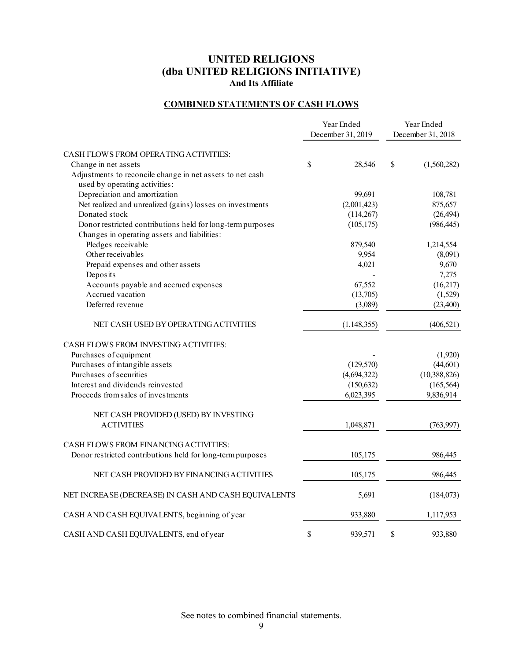# **COMBINED STATEMENTS OF CASH FLOWS**

|                                                            | Year Ended<br>December 31, 2019 | Year Ended<br>December 31, 2018 |                |  |
|------------------------------------------------------------|---------------------------------|---------------------------------|----------------|--|
| CASH FLOWS FROM OPERATING ACTIVITIES:                      |                                 |                                 |                |  |
| Change in net assets                                       | \$<br>28,546                    | $\mathbb{S}$                    | (1,560,282)    |  |
| Adjustments to reconcile change in net assets to net cash  |                                 |                                 |                |  |
| used by operating activities:                              |                                 |                                 |                |  |
| Depreciation and amortization                              | 99,691                          |                                 | 108,781        |  |
| Net realized and unrealized (gains) losses on investments  | (2,001,423)                     |                                 | 875,657        |  |
| Donated stock                                              | (114, 267)                      |                                 | (26, 494)      |  |
| Donor restricted contributions held for long-term purposes | (105, 175)                      |                                 | (986, 445)     |  |
| Changes in operating assets and liabilities:               |                                 |                                 |                |  |
| Pledges receivable                                         | 879,540                         |                                 | 1,214,554      |  |
| Other receivables                                          | 9,954                           |                                 | (8,091)        |  |
| Prepaid expenses and other assets                          | 4,021                           |                                 | 9,670          |  |
| Deposits                                                   |                                 |                                 | 7,275          |  |
| Accounts payable and accrued expenses                      | 67,552                          |                                 | (16,217)       |  |
| Accrued vacation                                           | (13,705)                        |                                 | (1,529)        |  |
| Deferred revenue                                           | (3,089)                         |                                 | (23, 400)      |  |
| NET CASH USED BY OPERATING ACTIVITIES                      | (1,148,355)                     |                                 | (406, 521)     |  |
| CASH FLOWS FROM INVESTING ACTIVITIES:                      |                                 |                                 |                |  |
| Purchases of equipment                                     |                                 |                                 | (1,920)        |  |
| Purchases of intangible assets                             | (129, 570)                      |                                 | (44, 601)      |  |
| Purchases of securities                                    | (4,694,322)                     |                                 | (10, 388, 826) |  |
| Interest and dividends reinvested                          | (150, 632)                      |                                 | (165, 564)     |  |
| Proceeds from sales of investments                         | 6,023,395                       |                                 | 9,836,914      |  |
| NET CASH PROVIDED (USED) BY INVESTING                      |                                 |                                 |                |  |
| <b>ACTIVITIES</b>                                          | 1,048,871                       |                                 | (763,997)      |  |
| CASH FLOWS FROM FINANCING ACTIVITIES:                      |                                 |                                 |                |  |
| Donor restricted contributions held for long-term purposes | 105,175                         |                                 | 986,445        |  |
| NET CASH PROVIDED BY FINANCING ACTIVITIES                  | 105,175                         |                                 | 986,445        |  |
| NET INCREASE (DECREASE) IN CASH AND CASH EQUIVALENTS       | 5,691                           |                                 | (184,073)      |  |
| CASH AND CASH EQUIVALENTS, beginning of year               | 933,880                         |                                 | 1,117,953      |  |
| CASH AND CASH EQUIVALENTS, end of year                     | \$<br>939,571                   | \$                              | 933,880        |  |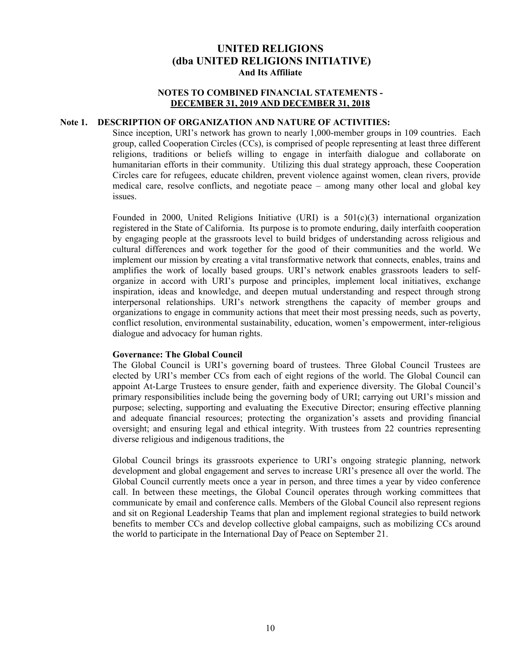## **NOTES TO COMBINED FINANCIAL STATEMENTS - DECEMBER 31, 2019 AND DECEMBER 31, 2018**

# **Note 1. DESCRIPTION OF ORGANIZATION AND NATURE OF ACTIVITIES:**

Since inception, URI's network has grown to nearly 1,000-member groups in 109 countries. Each group, called Cooperation Circles (CCs), is comprised of people representing at least three different religions, traditions or beliefs willing to engage in interfaith dialogue and collaborate on humanitarian efforts in their community. Utilizing this dual strategy approach, these Cooperation Circles care for refugees, educate children, prevent violence against women, clean rivers, provide medical care, resolve conflicts, and negotiate peace – among many other local and global key issues.

Founded in 2000, United Religions Initiative (URI) is a  $501(c)(3)$  international organization registered in the State of California. Its purpose is to promote enduring, daily interfaith cooperation by engaging people at the grassroots level to build bridges of understanding across religious and cultural differences and work together for the good of their communities and the world. We implement our mission by creating a vital transformative network that connects, enables, trains and amplifies the work of locally based groups. URI's network enables grassroots leaders to selforganize in accord with URI's purpose and principles, implement local initiatives, exchange inspiration, ideas and knowledge, and deepen mutual understanding and respect through strong interpersonal relationships. URI's network strengthens the capacity of member groups and organizations to engage in community actions that meet their most pressing needs, such as poverty, conflict resolution, environmental sustainability, education, women's empowerment, inter-religious dialogue and advocacy for human rights.

#### **Governance: The Global Council**

The Global Council is URI's governing board of trustees. Three Global Council Trustees are elected by URI's member CCs from each of eight regions of the world. The Global Council can appoint At-Large Trustees to ensure gender, faith and experience diversity. The Global Council's primary responsibilities include being the governing body of URI; carrying out URI's mission and purpose; selecting, supporting and evaluating the Executive Director; ensuring effective planning and adequate financial resources; protecting the organization's assets and providing financial oversight; and ensuring legal and ethical integrity. With trustees from 22 countries representing diverse religious and indigenous traditions, the

Global Council brings its grassroots experience to URI's ongoing strategic planning, network development and global engagement and serves to increase URI's presence all over the world. The Global Council currently meets once a year in person, and three times a year by video conference call. In between these meetings, the Global Council operates through working committees that communicate by email and conference calls. Members of the Global Council also represent regions and sit on Regional Leadership Teams that plan and implement regional strategies to build network benefits to member CCs and develop collective global campaigns, such as mobilizing CCs around the world to participate in the International Day of Peace on September 21.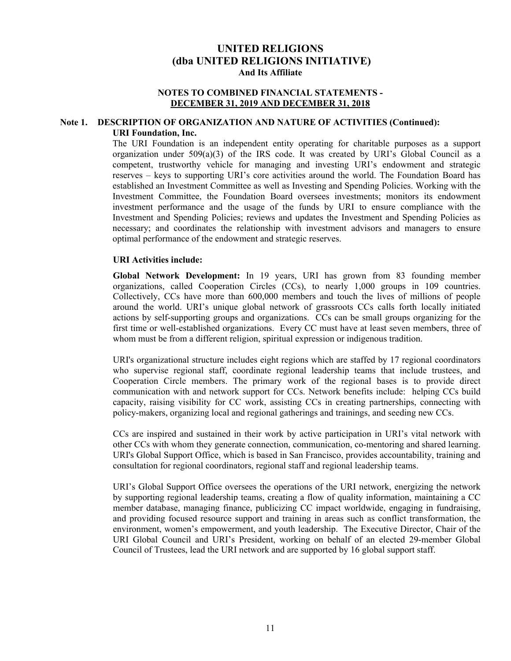#### **NOTES TO COMBINED FINANCIAL STATEMENTS - DECEMBER 31, 2019 AND DECEMBER 31, 2018**

#### **Note 1. DESCRIPTION OF ORGANIZATION AND NATURE OF ACTIVITIES (Continued): URI Foundation, Inc.**

The URI Foundation is an independent entity operating for charitable purposes as a support organization under 509(a)(3) of the IRS code. It was created by URI's Global Council as a competent, trustworthy vehicle for managing and investing URI's endowment and strategic reserves – keys to supporting URI's core activities around the world. The Foundation Board has established an Investment Committee as well as Investing and Spending Policies. Working with the Investment Committee, the Foundation Board oversees investments; monitors its endowment investment performance and the usage of the funds by URI to ensure compliance with the Investment and Spending Policies; reviews and updates the Investment and Spending Policies as necessary; and coordinates the relationship with investment advisors and managers to ensure optimal performance of the endowment and strategic reserves.

#### **URI Activities include:**

**Global Network Development:** In 19 years, URI has grown from 83 founding member organizations, called Cooperation Circles (CCs), to nearly 1,000 groups in 109 countries. Collectively, CCs have more than 600,000 members and touch the lives of millions of people around the world. URI's unique global network of grassroots CCs calls forth locally initiated actions by self-supporting groups and organizations. CCs can be small groups organizing for the first time or well-established organizations. Every CC must have at least seven members, three of whom must be from a different religion, spiritual expression or indigenous tradition.

URI's organizational structure includes eight regions which are staffed by 17 regional coordinators who supervise regional staff, coordinate regional leadership teams that include trustees, and Cooperation Circle members. The primary work of the regional bases is to provide direct communication with and network support for CCs. Network benefits include: helping CCs build capacity, raising visibility for CC work, assisting CCs in creating partnerships, connecting with policy-makers, organizing local and regional gatherings and trainings, and seeding new CCs.

CCs are inspired and sustained in their work by active participation in URI's vital network with other CCs with whom they generate connection, communication, co-mentoring and shared learning. URI's Global Support Office, which is based in San Francisco, provides accountability, training and consultation for regional coordinators, regional staff and regional leadership teams.

URI's Global Support Office oversees the operations of the URI network, energizing the network by supporting regional leadership teams, creating a flow of quality information, maintaining a CC member database, managing finance, publicizing CC impact worldwide, engaging in fundraising, and providing focused resource support and training in areas such as conflict transformation, the environment, women's empowerment, and youth leadership. The Executive Director, Chair of the URI Global Council and URI's President, working on behalf of an elected 29-member Global Council of Trustees, lead the URI network and are supported by 16 global support staff.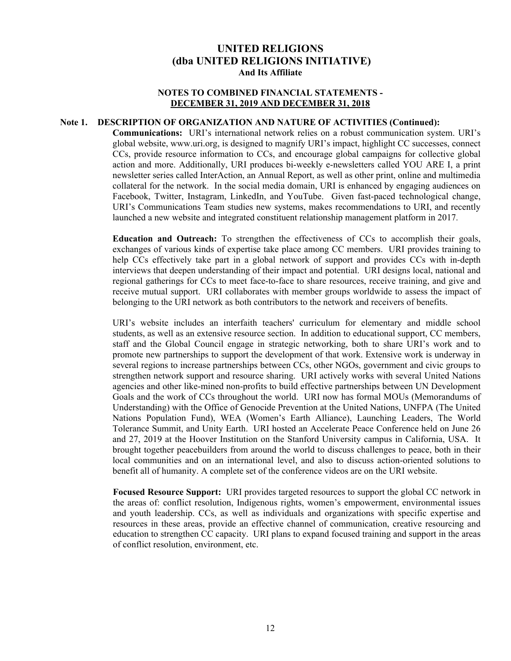## **NOTES TO COMBINED FINANCIAL STATEMENTS - DECEMBER 31, 2019 AND DECEMBER 31, 2018**

# **Note 1. DESCRIPTION OF ORGANIZATION AND NATURE OF ACTIVITIES (Continued):**

**Communications:** URI's international network relies on a robust communication system. URI's global website, www.uri.org, is designed to magnify URI's impact, highlight CC successes, connect CCs, provide resource information to CCs, and encourage global campaigns for collective global action and more. Additionally, URI produces bi-weekly e-newsletters called YOU ARE I, a print newsletter series called InterAction, an Annual Report, as well as other print, online and multimedia collateral for the network. In the social media domain, URI is enhanced by engaging audiences on Facebook, Twitter, Instagram, LinkedIn, and YouTube. Given fast-paced technological change, URI's Communications Team studies new systems, makes recommendations to URI, and recently launched a new website and integrated constituent relationship management platform in 2017.

**Education and Outreach:** To strengthen the effectiveness of CCs to accomplish their goals, exchanges of various kinds of expertise take place among CC members. URI provides training to help CCs effectively take part in a global network of support and provides CCs with in-depth interviews that deepen understanding of their impact and potential. URI designs local, national and regional gatherings for CCs to meet face-to-face to share resources, receive training, and give and receive mutual support. URI collaborates with member groups worldwide to assess the impact of belonging to the URI network as both contributors to the network and receivers of benefits.

URI's website includes an interfaith teachers' curriculum for elementary and middle school students, as well as an extensive resource section. In addition to educational support, CC members, staff and the Global Council engage in strategic networking, both to share URI's work and to promote new partnerships to support the development of that work. Extensive work is underway in several regions to increase partnerships between CCs, other NGOs, government and civic groups to strengthen network support and resource sharing. URI actively works with several United Nations agencies and other like-mined non-profits to build effective partnerships between UN Development Goals and the work of CCs throughout the world. URI now has formal MOUs (Memorandums of Understanding) with the Office of Genocide Prevention at the United Nations, UNFPA (The United Nations Population Fund), WEA (Women's Earth Alliance), Launching Leaders, The World Tolerance Summit, and Unity Earth. URI hosted an Accelerate Peace Conference held on June 26 and 27, 2019 at the Hoover Institution on the Stanford University campus in California, USA. It brought together peacebuilders from around the world to discuss challenges to peace, both in their local communities and on an international level, and also to discuss action-oriented solutions to benefit all of humanity. A complete set of the conference videos are on the URI website.

**Focused Resource Support:** URI provides targeted resources to support the global CC network in the areas of: conflict resolution, Indigenous rights, women's empowerment, environmental issues and youth leadership. CCs, as well as individuals and organizations with specific expertise and resources in these areas, provide an effective channel of communication, creative resourcing and education to strengthen CC capacity. URI plans to expand focused training and support in the areas of conflict resolution, environment, etc.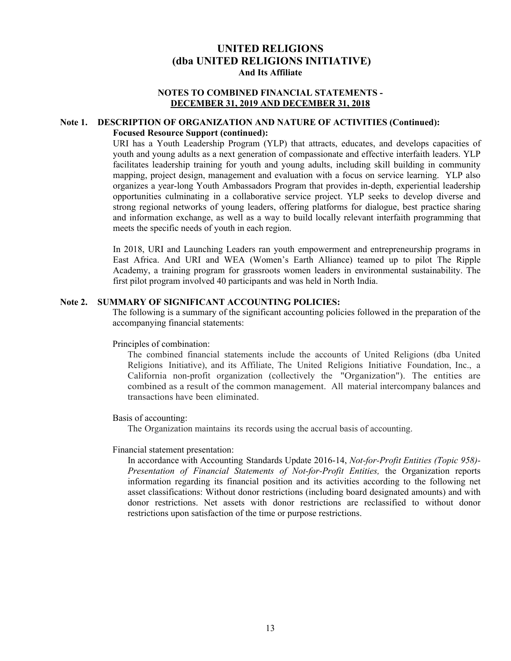#### **NOTES TO COMBINED FINANCIAL STATEMENTS - DECEMBER 31, 2019 AND DECEMBER 31, 2018**

#### **Note 1. DESCRIPTION OF ORGANIZATION AND NATURE OF ACTIVITIES (Continued): Focused Resource Support (continued):**

URI has a Youth Leadership Program (YLP) that attracts, educates, and develops capacities of youth and young adults as a next generation of compassionate and effective interfaith leaders. YLP facilitates leadership training for youth and young adults, including skill building in community mapping, project design, management and evaluation with a focus on service learning. YLP also organizes a year-long Youth Ambassadors Program that provides in-depth, experiential leadership opportunities culminating in a collaborative service project. YLP seeks to develop diverse and strong regional networks of young leaders, offering platforms for dialogue, best practice sharing and information exchange, as well as a way to build locally relevant interfaith programming that meets the specific needs of youth in each region.

In 2018, URI and Launching Leaders ran youth empowerment and entrepreneurship programs in East Africa. And URI and WEA (Women's Earth Alliance) teamed up to pilot The Ripple Academy, a training program for grassroots women leaders in environmental sustainability. The first pilot program involved 40 participants and was held in North India.

#### **Note 2. SUMMARY OF SIGNIFICANT ACCOUNTING POLICIES:**

The following is a summary of the significant accounting policies followed in the preparation of the accompanying financial statements:

#### Principles of combination:

The combined financial statements include the accounts of United Religions (dba United Religions Initiative), and its Affiliate, The United Religions Initiative Foundation, Inc., a California non-profit organization (collectively the "Organization"). The entities are combined as a result of the common management. All material intercompany balances and transactions have been eliminated.

#### Basis of accounting:

The Organization maintains its records using the accrual basis of accounting.

#### Financial statement presentation:

In accordance with Accounting Standards Update 2016-14, *Not-for-Profit Entities (Topic 958)- Presentation of Financial Statements of Not-for-Profit Entities,* the Organization reports information regarding its financial position and its activities according to the following net asset classifications: Without donor restrictions (including board designated amounts) and with donor restrictions. Net assets with donor restrictions are reclassified to without donor restrictions upon satisfaction of the time or purpose restrictions.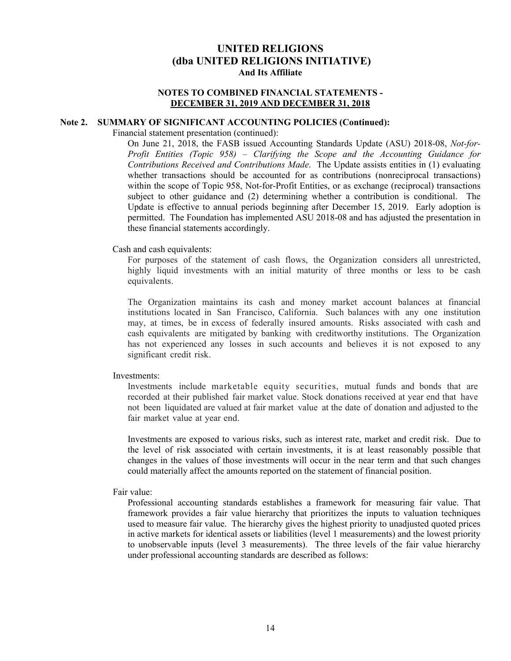#### **NOTES TO COMBINED FINANCIAL STATEMENTS - DECEMBER 31, 2019 AND DECEMBER 31, 2018**

#### **Note 2. SUMMARY OF SIGNIFICANT ACCOUNTING POLICIES (Continued):**

Financial statement presentation (continued):

On June 21, 2018, the FASB issued Accounting Standards Update (ASU) 2018-08, *Not-for-Profit Entities (Topic 958) – Clarifying the Scope and the Accounting Guidance for Contributions Received and Contributions Made*. The Update assists entities in (1) evaluating whether transactions should be accounted for as contributions (nonreciprocal transactions) within the scope of Topic 958, Not-for-Profit Entities, or as exchange (reciprocal) transactions subject to other guidance and (2) determining whether a contribution is conditional. The Update is effective to annual periods beginning after December 15, 2019. Early adoption is permitted. The Foundation has implemented ASU 2018-08 and has adjusted the presentation in these financial statements accordingly.

#### Cash and cash equivalents:

For purposes of the statement of cash flows, the Organization considers all unrestricted, highly liquid investments with an initial maturity of three months or less to be cash equivalents.

The Organization maintains its cash and money market account balances at financial institutions located in San Francisco, California. Such balances with any one institution may, at times, be in excess of federally insured amounts. Risks associated with cash and cash equivalents are mitigated by banking with creditworthy institutions. The Organization has not experienced any losses in such accounts and believes it is not exposed to any significant credit risk.

#### Investments:

Investments include marketable equity securities, mutual funds and bonds that are recorded at their published fair market value. Stock donations received at year end that have not been liquidated are valued at fair market value at the date of donation and adjusted to the fair market value at year end.

Investments are exposed to various risks, such as interest rate, market and credit risk. Due to the level of risk associated with certain investments, it is at least reasonably possible that changes in the values of those investments will occur in the near term and that such changes could materially affect the amounts reported on the statement of financial position.

#### Fair value:

Professional accounting standards establishes a framework for measuring fair value. That framework provides a fair value hierarchy that prioritizes the inputs to valuation techniques used to measure fair value. The hierarchy gives the highest priority to unadjusted quoted prices in active markets for identical assets or liabilities (level 1 measurements) and the lowest priority to unobservable inputs (level 3 measurements). The three levels of the fair value hierarchy under professional accounting standards are described as follows: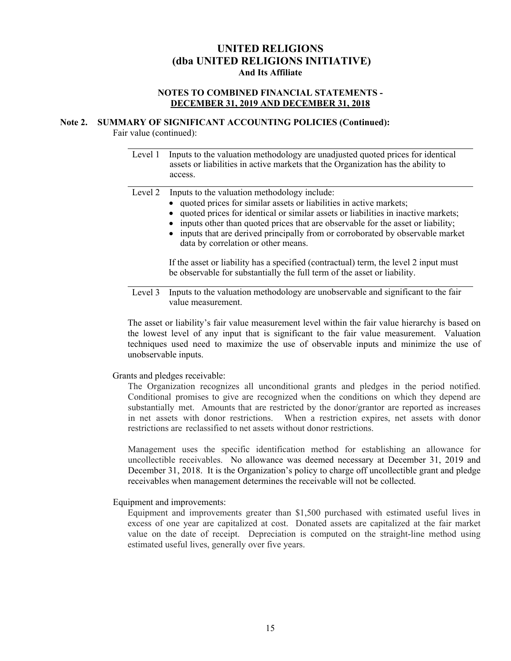# **NOTES TO COMBINED FINANCIAL STATEMENTS - DECEMBER 31, 2019 AND DECEMBER 31, 2018**

#### **Note 2. SUMMARY OF SIGNIFICANT ACCOUNTING POLICIES (Continued):**

Fair value (continued):

 $\overline{a}$ 

Level 1 Inputs to the valuation methodology are unadjusted quoted prices for identical assets or liabilities in active markets that the Organization has the ability to access.

Level 2 Inputs to the valuation methodology include:

- quoted prices for similar assets or liabilities in active markets;
- quoted prices for identical or similar assets or liabilities in inactive markets;
- inputs other than quoted prices that are observable for the asset or liability;
- inputs that are derived principally from or corroborated by observable market data by correlation or other means.

 If the asset or liability has a specified (contractual) term, the level 2 input must be observable for substantially the full term of the asset or liability.

Level 3 Inputs to the valuation methodology are unobservable and significant to the fair value measurement.

The asset or liability's fair value measurement level within the fair value hierarchy is based on the lowest level of any input that is significant to the fair value measurement. Valuation techniques used need to maximize the use of observable inputs and minimize the use of unobservable inputs.

#### Grants and pledges receivable:

The Organization recognizes all unconditional grants and pledges in the period notified. Conditional promises to give are recognized when the conditions on which they depend are substantially met. Amounts that are restricted by the donor/grantor are reported as increases in net assets with donor restrictions. When a restriction expires, net assets with donor restrictions are reclassified to net assets without donor restrictions.

Management uses the specific identification method for establishing an allowance for uncollectible receivables. No allowance was deemed necessary at December 31, 2019 and December 31, 2018. It is the Organization's policy to charge off uncollectible grant and pledge receivables when management determines the receivable will not be collected.

Equipment and improvements:

Equipment and improvements greater than \$1,500 purchased with estimated useful lives in excess of one year are capitalized at cost. Donated assets are capitalized at the fair market value on the date of receipt. Depreciation is computed on the straight-line method using estimated useful lives, generally over five years.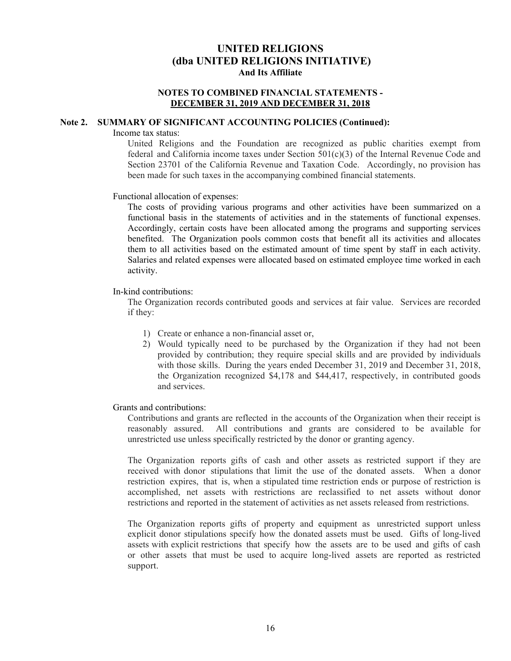## **NOTES TO COMBINED FINANCIAL STATEMENTS - DECEMBER 31, 2019 AND DECEMBER 31, 2018**

#### **Note 2. SUMMARY OF SIGNIFICANT ACCOUNTING POLICIES (Continued):**

Income tax status:

United Religions and the Foundation are recognized as public charities exempt from federal and California income taxes under Section 501(c)(3) of the Internal Revenue Code and Section 23701 of the California Revenue and Taxation Code. Accordingly, no provision has been made for such taxes in the accompanying combined financial statements.

#### Functional allocation of expenses:

The costs of providing various programs and other activities have been summarized on a functional basis in the statements of activities and in the statements of functional expenses. Accordingly, certain costs have been allocated among the programs and supporting services benefited. The Organization pools common costs that benefit all its activities and allocates them to all activities based on the estimated amount of time spent by staff in each activity. Salaries and related expenses were allocated based on estimated employee time worked in each activity.

# In-kind contributions:

The Organization records contributed goods and services at fair value. Services are recorded if they:

- 1) Create or enhance a non-financial asset or,
- 2) Would typically need to be purchased by the Organization if they had not been provided by contribution; they require special skills and are provided by individuals with those skills. During the years ended December 31, 2019 and December 31, 2018, the Organization recognized \$4,178 and \$44,417, respectively, in contributed goods and services.

#### Grants and contributions:

Contributions and grants are reflected in the accounts of the Organization when their receipt is reasonably assured. All contributions and grants are considered to be available for unrestricted use unless specifically restricted by the donor or granting agency.

The Organization reports gifts of cash and other assets as restricted support if they are received with donor stipulations that limit the use of the donated assets. When a donor restriction expires, that is, when a stipulated time restriction ends or purpose of restriction is accomplished, net assets with restrictions are reclassified to net assets without donor restrictions and reported in the statement of activities as net assets released from restrictions.

The Organization reports gifts of property and equipment as unrestricted support unless explicit donor stipulations specify how the donated assets must be used. Gifts of long-lived assets with explicit restrictions that specify how the assets are to be used and gifts of cash or other assets that must be used to acquire long-lived assets are reported as restricted support.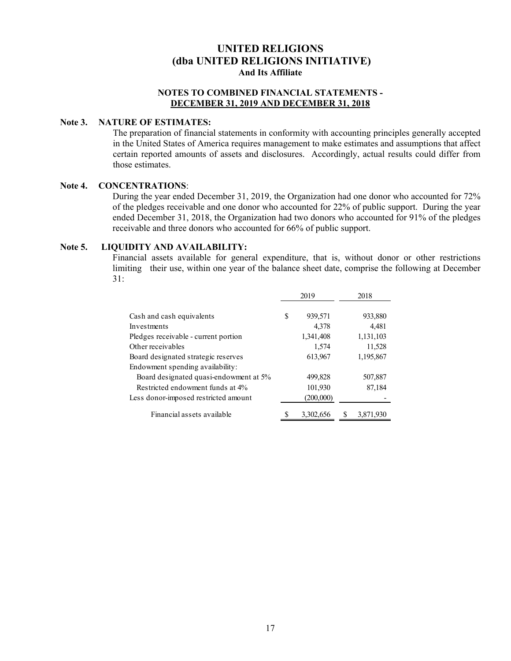# **NOTES TO COMBINED FINANCIAL STATEMENTS - DECEMBER 31, 2019 AND DECEMBER 31, 2018**

# **Note 3. NATURE OF ESTIMATES:**

The preparation of financial statements in conformity with accounting principles generally accepted in the United States of America requires management to make estimates and assumptions that affect certain reported amounts of assets and disclosures. Accordingly, actual results could differ from those estimates.

#### **Note 4. CONCENTRATIONS**:

During the year ended December 31, 2019, the Organization had one donor who accounted for 72% of the pledges receivable and one donor who accounted for 22% of public support. During the year ended December 31, 2018, the Organization had two donors who accounted for 91% of the pledges receivable and three donors who accounted for 66% of public support.

#### **Note 5. LIQUIDITY AND AVAILABILITY:**

Financial assets available for general expenditure, that is, without donor or other restrictions limiting their use, within one year of the balance sheet date, comprise the following at December 31:

|                                        |   | 2019      | 2018 |           |  |
|----------------------------------------|---|-----------|------|-----------|--|
| Cash and cash equivalents              | S | 939,571   |      | 933,880   |  |
| Investments                            |   | 4,378     |      | 4.481     |  |
| Pledges receivable - current portion   |   | 1,341,408 |      | 1,131,103 |  |
| Other receivables                      |   | 1,574     |      | 11,528    |  |
| Board designated strategic reserves    |   | 613,967   |      | 1,195,867 |  |
| Endowment spending availability:       |   |           |      |           |  |
| Board designated quasi-endowment at 5% |   | 499,828   |      | 507,887   |  |
| Restricted endowment funds at 4%       |   | 101,930   |      | 87,184    |  |
| Less donor-imposed restricted amount   |   | (200,000) |      |           |  |
| Financial assets available             |   | 3,302,656 |      | 3,871,930 |  |
|                                        |   |           |      |           |  |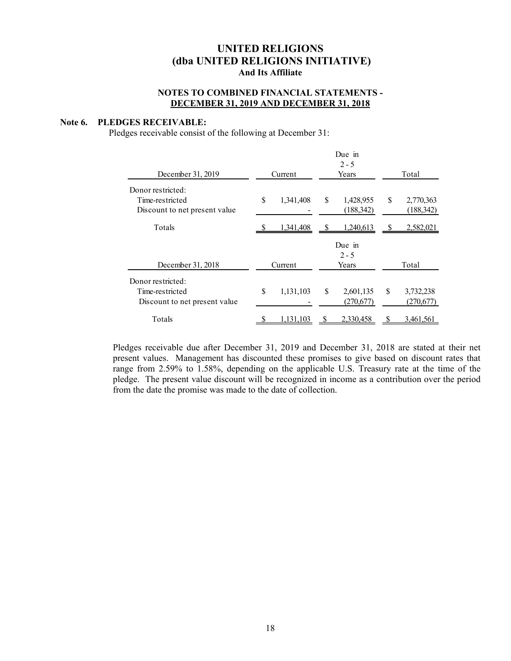# **NOTES TO COMBINED FINANCIAL STATEMENTS - DECEMBER 31, 2019 AND DECEMBER 31, 2018**

#### **Note 6. PLEDGES RECEIVABLE:**

Pledges receivable consist of the following at December 31:

|                                                                       |         |           |   | Due in<br>$2 - 5$          |       |                         |  |
|-----------------------------------------------------------------------|---------|-----------|---|----------------------------|-------|-------------------------|--|
| December 31, 2019                                                     | Current |           |   | Years                      | Total |                         |  |
| Donor restricted:<br>Time-restricted<br>Discount to net present value | \$      | 1,341,408 | S | 1,428,955<br>(188,342)     | \$.   | 2,770,363<br>(188, 342) |  |
| Totals                                                                |         | 1,341,408 |   | 1,240,613                  |       | 2,582,021               |  |
| December 31, 2018                                                     | Current |           |   | Due in<br>$2 - 5$<br>Years |       | Total                   |  |
| Donor restricted:<br>Time-restricted<br>Discount to net present value | \$      | 1,131,103 | S | 2,601,135<br>(270,677)     | S     | 3,732,238<br>(270,677)  |  |
| Totals                                                                |         | 1,131,103 |   | 2,330,458                  |       | 3,461,561               |  |

Pledges receivable due after December 31, 2019 and December 31, 2018 are stated at their net present values. Management has discounted these promises to give based on discount rates that range from 2.59% to 1.58%, depending on the applicable U.S. Treasury rate at the time of the pledge. The present value discount will be recognized in income as a contribution over the period from the date the promise was made to the date of collection.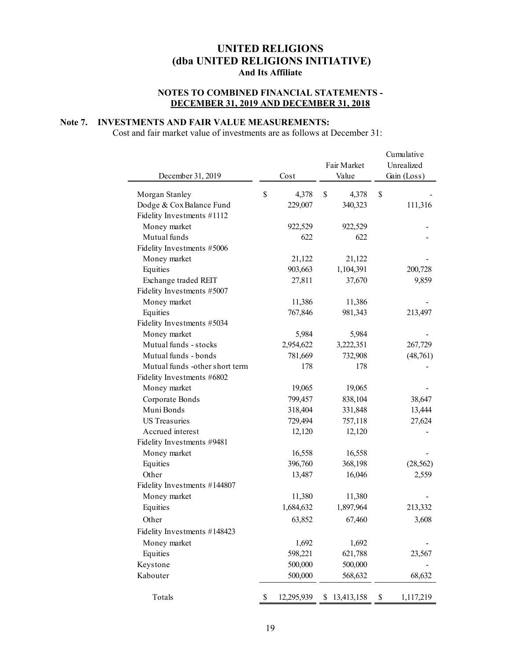# **NOTES TO COMBINED FINANCIAL STATEMENTS - DECEMBER 31, 2019 AND DECEMBER 31, 2018**

# **Note 7. INVESTMENTS AND FAIR VALUE MEASUREMENTS:**

Cost and fair market value of investments are as follows at December 31:

|                                |                  |    | Fair Market | Cumulative<br>Unrealized |
|--------------------------------|------------------|----|-------------|--------------------------|
| December 31, 2019              | Cost             |    | Value       | Gain (Loss)              |
|                                |                  |    |             |                          |
| Morgan Stanley                 | \$<br>4,378      | \$ | 4,378       | \$                       |
| Dodge & Cox Balance Fund       | 229,007          |    | 340,323     | 111,316                  |
| Fidelity Investments #1112     |                  |    |             |                          |
| Money market                   | 922,529          |    | 922,529     |                          |
| Mutual funds                   | 622              |    | 622         |                          |
| Fidelity Investments #5006     |                  |    |             |                          |
| Money market                   | 21,122           |    | 21,122      |                          |
| Equities                       | 903,663          |    | 1,104,391   | 200,728                  |
| Exchange traded REIT           | 27,811           |    | 37,670      | 9,859                    |
| Fidelity Investments #5007     |                  |    |             |                          |
| Money market                   | 11,386           |    | 11,386      |                          |
| Equities                       | 767,846          |    | 981,343     | 213,497                  |
| Fidelity Investments #5034     |                  |    |             |                          |
| Money market                   | 5,984            |    | 5,984       |                          |
| Mutual funds - stocks          | 2,954,622        |    | 3,222,351   | 267,729                  |
| Mutual funds - bonds           | 781,669          |    | 732,908     | (48,761)                 |
| Mutual funds -other short term | 178              |    | 178         |                          |
| Fidelity Investments #6802     |                  |    |             |                          |
| Money market                   | 19,065           |    | 19,065      |                          |
| Corporate Bonds                | 799,457          |    | 838,104     | 38,647                   |
| Muni Bonds                     | 318,404          |    | 331,848     | 13,444                   |
| <b>US</b> Treasuries           | 729,494          |    | 757,118     | 27,624                   |
| Accrued interest               | 12,120           |    | 12,120      |                          |
| Fidelity Investments #9481     |                  |    |             |                          |
| Money market                   | 16,558           |    | 16,558      |                          |
| Equities                       | 396,760          |    | 368,198     | (28, 562)                |
| Other                          | 13,487           |    | 16,046      | 2,559                    |
| Fidelity Investments #144807   |                  |    |             |                          |
| Money market                   | 11,380           |    | 11,380      |                          |
| Equities                       | 1,684,632        |    | 1,897,964   | 213,332                  |
| Other                          | 63,852           |    | 67,460      | 3,608                    |
| Fidelity Investments #148423   |                  |    |             |                          |
| Money market                   | 1,692            |    | 1,692       |                          |
| Equities                       | 598,221          |    | 621,788     | 23,567                   |
| Keystone                       | 500,000          |    | 500,000     |                          |
| Kabouter                       | 500,000          |    |             |                          |
|                                |                  |    | 568,632     | 68,632                   |
| Totals                         | \$<br>12,295,939 | S  | 13,413,158  | \$<br>1,117,219          |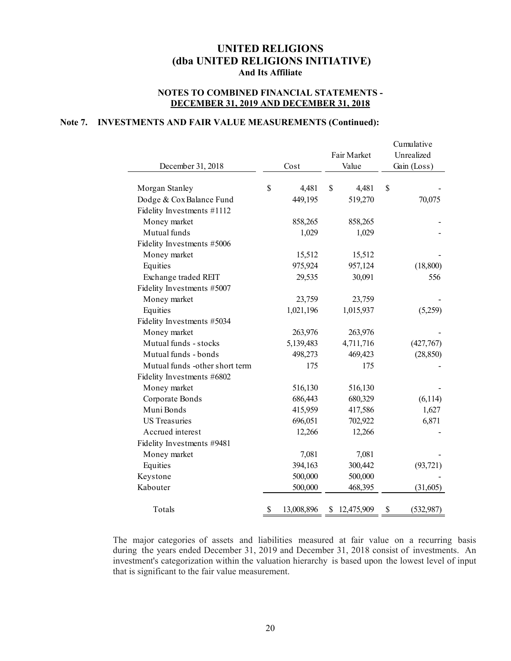# **NOTES TO COMBINED FINANCIAL STATEMENTS - DECEMBER 31, 2019 AND DECEMBER 31, 2018**

#### **Note 7. INVESTMENTS AND FAIR VALUE MEASUREMENTS (Continued):**

|                                |                  | Fair Market  |             | Cumulative<br>Unrealized |
|--------------------------------|------------------|--------------|-------------|--------------------------|
| December 31, 2018              | Cost             | Value        | Gain (Loss) |                          |
| Morgan Stanley                 | \$<br>4,481      | \$<br>4,481  | \$          |                          |
| Dodge & Cox Balance Fund       | 449,195          | 519,270      |             | 70,075                   |
| Fidelity Investments #1112     |                  |              |             |                          |
| Money market                   | 858,265          | 858,265      |             |                          |
| Mutual funds                   | 1,029            | 1,029        |             |                          |
| Fidelity Investments #5006     |                  |              |             |                          |
| Money market                   | 15,512           | 15,512       |             |                          |
| Equities                       | 975,924          | 957,124      |             | (18, 800)                |
| Exchange traded REIT           | 29,535           | 30,091       |             | 556                      |
| Fidelity Investments #5007     |                  |              |             |                          |
| Money market                   | 23,759           | 23,759       |             |                          |
| Equities                       | 1,021,196        | 1,015,937    |             | (5,259)                  |
| Fidelity Investments #5034     |                  |              |             |                          |
| Money market                   | 263,976          | 263,976      |             |                          |
| Mutual funds - stocks          | 5,139,483        | 4,711,716    |             | (427,767)                |
| Mutual funds - bonds           | 498,273          | 469,423      |             | (28, 850)                |
| Mutual funds -other short term | 175              | 175          |             |                          |
| Fidelity Investments #6802     |                  |              |             |                          |
| Money market                   | 516,130          | 516,130      |             |                          |
| Corporate Bonds                | 686,443          | 680,329      |             | (6,114)                  |
| Muni Bonds                     | 415,959          | 417,586      |             | 1,627                    |
| <b>US Treasuries</b>           | 696,051          | 702,922      |             | 6,871                    |
| Accrued interest               | 12,266           | 12,266       |             |                          |
| Fidelity Investments #9481     |                  |              |             |                          |
| Money market                   | 7,081            | 7,081        |             |                          |
| Equities                       | 394,163          | 300,442      |             | (93, 721)                |
| Keystone                       | 500,000          | 500,000      |             |                          |
| Kabouter                       | 500,000          | 468,395      |             | (31,605)                 |
| Totals                         | \$<br>13,008,896 | \$12,475,909 | \$          | (532, 987)               |

The major categories of assets and liabilities measured at fair value on a recurring basis during the years ended December 31, 2019 and December 31, 2018 consist of investments. An investment's categorization within the valuation hierarchy is based upon the lowest level of input that is significant to the fair value measurement.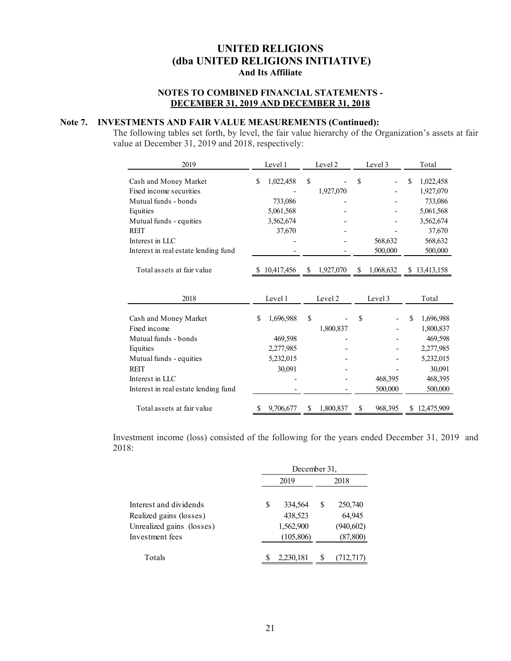# **NOTES TO COMBINED FINANCIAL STATEMENTS - DECEMBER 31, 2019 AND DECEMBER 31, 2018**

# **Note 7. INVESTMENTS AND FAIR VALUE MEASUREMENTS (Continued):**

The following tables set forth, by level, the fair value hierarchy of the Organization's assets at fair value at December 31, 2019 and 2018, respectively:

| 2019                                 |            | Level 1   | Level 2 |           | Level 3 |           |   | Total        |
|--------------------------------------|------------|-----------|---------|-----------|---------|-----------|---|--------------|
| Cash and Money Market                | \$         | 1,022,458 | \$      |           | \$      |           | S | 1,022,458    |
| Fixed income securities              |            |           |         | 1,927,070 |         |           |   | 1,927,070    |
| Mutual funds - bonds                 |            | 733,086   |         |           |         |           |   | 733,086      |
| Equities                             |            | 5,061,568 |         |           |         |           |   | 5,061,568    |
| Mutual funds - equities              |            | 3,562,674 |         |           |         |           |   | 3,562,674    |
| <b>REIT</b>                          |            | 37,670    |         |           |         |           |   | 37,670       |
| Interest in LLC                      |            |           |         |           |         | 568,632   |   | 568,632      |
| Interest in real estate lending fund |            |           |         |           |         | 500,000   |   | 500,000      |
|                                      |            |           |         |           |         |           |   |              |
| Total assets at fair value           | 10,417,456 |           | \$      | 1,927,070 | \$      | 1,068,632 |   | \$13,413,158 |
|                                      |            |           |         |           |         |           |   |              |
|                                      |            |           |         |           |         |           |   |              |
| 2018                                 |            | Level 1   |         | Level 2   | Level 3 |           |   | Total        |
| Cash and Money Market                | \$         | 1,696,988 | \$      |           | \$      |           | S | 1,696,988    |
| Fixed income                         |            |           |         | 1,800,837 |         |           |   | 1,800,837    |
| Mutual funds - bonds                 |            | 469,598   |         |           |         |           |   | 469,598      |
| Equities                             |            | 2,277,985 |         |           |         |           |   | 2,277,985    |
| Mutual funds - equities              |            | 5,232,015 |         |           |         |           |   | 5,232,015    |
| <b>REIT</b>                          |            | 30,091    |         |           |         |           |   | 30,091       |
| Interest in LLC                      |            |           |         |           |         | 468,395   |   | 468,395      |
| Interest in real estate lending fund |            |           |         |           |         | 500,000   |   | 500,000      |
| Total assets at fair value           | \$         | 9,706,677 | \$      | 1,800,837 | \$      | 968,395   | S | 12,475,909   |

Investment income (loss) consisted of the following for the years ended December 31, 2019 and 2018:

|                           |  | December 31, |      |            |  |  |  |
|---------------------------|--|--------------|------|------------|--|--|--|
|                           |  | 2019         | 2018 |            |  |  |  |
| Interest and dividends    |  | 334,564      | S    | 250,740    |  |  |  |
| Realized gains (losses)   |  | 438,523      |      | 64,945     |  |  |  |
| Unrealized gains (losses) |  | 1,562,900    |      | (940, 602) |  |  |  |
| Investment fees           |  | (105,806)    |      | (87, 800)  |  |  |  |
| Totals                    |  | 2,230,181    | S    | (712,717)  |  |  |  |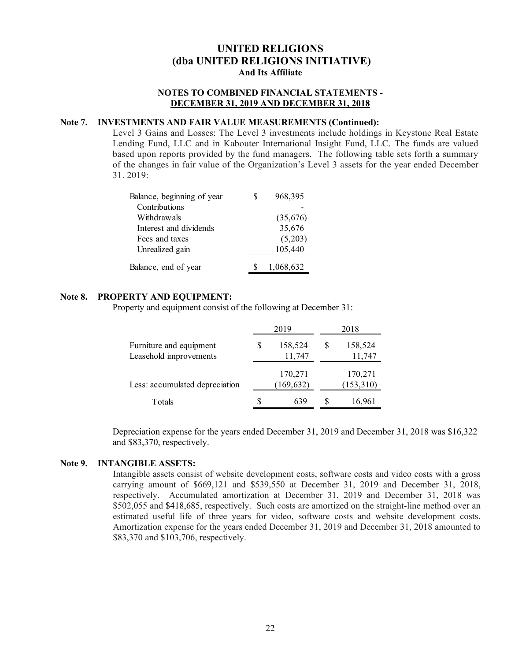# **NOTES TO COMBINED FINANCIAL STATEMENTS - DECEMBER 31, 2019 AND DECEMBER 31, 2018**

#### **Note 7. INVESTMENTS AND FAIR VALUE MEASUREMENTS (Continued):**

Level 3 Gains and Losses: The Level 3 investments include holdings in Keystone Real Estate Lending Fund, LLC and in Kabouter International Insight Fund, LLC. The funds are valued based upon reports provided by the fund managers. The following table sets forth a summary of the changes in fair value of the Organization's Level 3 assets for the year ended December 31. 2019:

| Balance, beginning of year | 968,395   |
|----------------------------|-----------|
| Contributions              |           |
| Withdrawals                | (35,676)  |
| Interest and dividends     | 35,676    |
| Fees and taxes             | (5,203)   |
| Unrealized gain            | 105,440   |
| Balance, end of year       | 1,068,632 |

#### **Note 8. PROPERTY AND EQUIPMENT:**

Property and equipment consist of the following at December 31:

|                                                   |   | 2019                  | 2018 |                      |  |
|---------------------------------------------------|---|-----------------------|------|----------------------|--|
| Furniture and equipment<br>Leasehold improvements | S | 158,524<br>11,747     | S    | 158,524<br>11,747    |  |
| Less: accumulated depreciation                    |   | 170,271<br>(169, 632) |      | 170,271<br>(153,310) |  |
| Totals                                            | S | 639                   |      | 16,961               |  |

Depreciation expense for the years ended December 31, 2019 and December 31, 2018 was \$16,322 and \$83,370, respectively.

#### **Note 9. INTANGIBLE ASSETS:**

Intangible assets consist of website development costs, software costs and video costs with a gross carrying amount of \$669,121 and \$539,550 at December 31, 2019 and December 31, 2018, respectively. Accumulated amortization at December 31, 2019 and December 31, 2018 was \$502,055 and \$418,685, respectively. Such costs are amortized on the straight-line method over an estimated useful life of three years for video, software costs and website development costs. Amortization expense for the years ended December 31, 2019 and December 31, 2018 amounted to \$83,370 and \$103,706, respectively.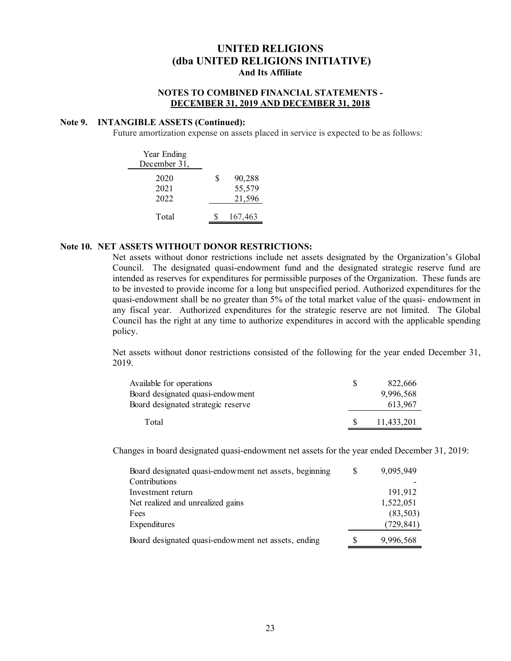# **NOTES TO COMBINED FINANCIAL STATEMENTS - DECEMBER 31, 2019 AND DECEMBER 31, 2018**

#### **Note 9. INTANGIBLE ASSETS (Continued):**

Future amortization expense on assets placed in service is expected to be as follows:

| Year Ending<br>December 31, |   |                            |
|-----------------------------|---|----------------------------|
| 2020<br>2021<br>2022        | S | 90,288<br>55,579<br>21,596 |
| Total                       |   | 167,463                    |

#### **Note 10. NET ASSETS WITHOUT DONOR RESTRICTIONS:**

Net assets without donor restrictions include net assets designated by the Organization's Global Council. The designated quasi-endowment fund and the designated strategic reserve fund are intended as reserves for expenditures for permissible purposes of the Organization. These funds are to be invested to provide income for a long but unspecified period. Authorized expenditures for the quasi-endowment shall be no greater than 5% of the total market value of the quasi- endowment in any fiscal year. Authorized expenditures for the strategic reserve are not limited. The Global Council has the right at any time to authorize expenditures in accord with the applicable spending policy.

Net assets without donor restrictions consisted of the following for the year ended December 31, 2019.

| Available for operations           | 822,666    |
|------------------------------------|------------|
| Board designated quasi-endowment   | 9,996,568  |
| Board designated strategic reserve | 613.967    |
| Total                              | 11,433,201 |

Changes in board designated quasi-endowment net assets for the year ended December 31, 2019:

| Board designated quasi-endowment net assets, beginning | S | 9,095,949  |
|--------------------------------------------------------|---|------------|
| Contributions                                          |   |            |
| Investment return                                      |   | 191,912    |
| Net realized and unrealized gains                      |   | 1,522,051  |
| Fees                                                   |   | (83,503)   |
| Expenditures                                           |   | (729, 841) |
| Board designated quasi-endowment net assets, ending    |   | 9,996,568  |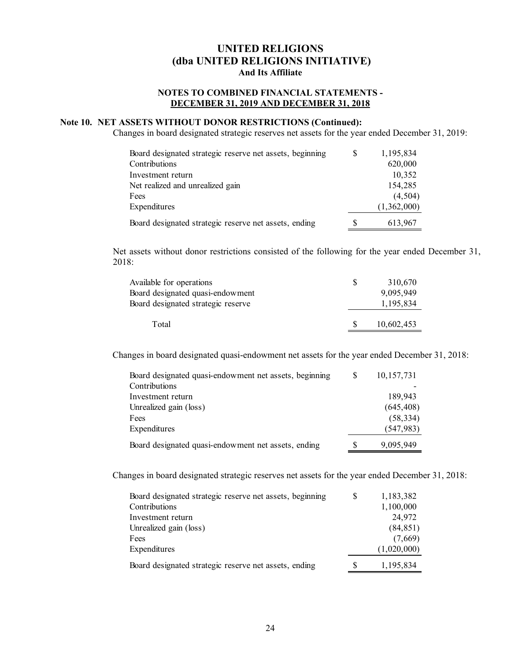# **NOTES TO COMBINED FINANCIAL STATEMENTS - DECEMBER 31, 2019 AND DECEMBER 31, 2018**

# **Note 10. NET ASSETS WITHOUT DONOR RESTRICTIONS (Continued):**

Changes in board designated strategic reserves net assets for the year ended December 31, 2019:

| Board designated strategic reserve net assets, beginning | S | 1,195,834   |
|----------------------------------------------------------|---|-------------|
| Contributions                                            |   | 620,000     |
| Investment return                                        |   | 10,352      |
| Net realized and unrealized gain                         |   | 154,285     |
| Fees                                                     |   | (4,504)     |
| Expenditures                                             |   | (1,362,000) |
| Board designated strategic reserve net assets, ending    | S | 613,967     |

Net assets without donor restrictions consisted of the following for the year ended December 31, 2018:

| Available for operations<br>Board designated quasi-endowment | S  | 310,670<br>9,095,949 |
|--------------------------------------------------------------|----|----------------------|
| Board designated strategic reserve                           |    | 1,195,834            |
| Total                                                        | -S | 10,602,453           |

Changes in board designated quasi-endowment net assets for the year ended December 31, 2018:

| Board designated quasi-endowment net assets, beginning | 10, 157, 731 |
|--------------------------------------------------------|--------------|
| Contributions                                          |              |
| Investment return                                      | 189.943      |
| Unrealized gain (loss)                                 | (645, 408)   |
| Fees                                                   | (58, 334)    |
| Expenditures                                           | (547, 983)   |
| Board designated quasi-endowment net assets, ending    | 9,095,949    |

Changes in board designated strategic reserves net assets for the year ended December 31, 2018:

| Board designated strategic reserve net assets, beginning | 1,183,382   |
|----------------------------------------------------------|-------------|
| Contributions                                            | 1,100,000   |
| Investment return                                        | 24,972      |
| Unrealized gain (loss)                                   | (84, 851)   |
| Fees                                                     | (7,669)     |
| Expenditures                                             | (1,020,000) |
| Board designated strategic reserve net assets, ending    | 1,195,834   |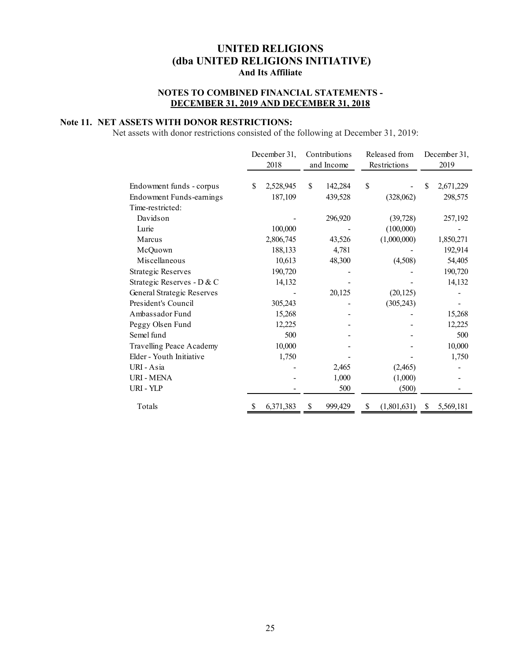# **NOTES TO COMBINED FINANCIAL STATEMENTS - DECEMBER 31, 2019 AND DECEMBER 31, 2018**

# **Note 11. NET ASSETS WITH DONOR RESTRICTIONS:**

Net assets with donor restrictions consisted of the following at December 31, 2019:

|                                 | December 31,<br>2018 | Contributions<br>and Income |         | Released from<br>Restrictions |             | December 31,<br>2019 |           |
|---------------------------------|----------------------|-----------------------------|---------|-------------------------------|-------------|----------------------|-----------|
| Endowment funds - corpus        | \$<br>2,528,945      | \$                          | 142,284 | \$                            |             | S                    | 2,671,229 |
| <b>Endowment Funds-earnings</b> | 187,109              |                             | 439,528 |                               | (328,062)   |                      | 298,575   |
| Time-restricted:                |                      |                             |         |                               |             |                      |           |
| Davidson                        |                      |                             | 296,920 |                               | (39, 728)   |                      | 257,192   |
| Lurie                           | 100,000              |                             |         |                               | (100,000)   |                      |           |
| Marcus                          | 2,806,745            |                             | 43,526  |                               | (1,000,000) |                      | 1,850,271 |
| McQuown                         | 188,133              |                             | 4,781   |                               |             |                      | 192,914   |
| Miscellaneous                   | 10,613               |                             | 48,300  |                               | (4,508)     |                      | 54,405    |
| <b>Strategic Reserves</b>       | 190,720              |                             |         |                               |             |                      | 190,720   |
| Strategic Reserves - D & C      | 14,132               |                             |         |                               |             |                      | 14,132    |
| General Strategic Reserves      |                      |                             | 20,125  |                               | (20, 125)   |                      |           |
| President's Council             | 305,243              |                             |         |                               | (305, 243)  |                      |           |
| Ambassador Fund                 | 15,268               |                             |         |                               |             |                      | 15,268    |
| Peggy Olsen Fund                | 12,225               |                             |         |                               |             |                      | 12,225    |
| Semel fund                      | 500                  |                             |         |                               |             |                      | 500       |
| Travelling Peace Academy        | 10,000               |                             |         |                               |             |                      | 10,000    |
| Elder - Youth Initiative        | 1,750                |                             |         |                               |             |                      | 1,750     |
| URI - Asia                      |                      |                             | 2,465   |                               | (2,465)     |                      |           |
| <b>URI - MENA</b>               |                      |                             | 1,000   |                               | (1,000)     |                      |           |
| URI - YLP                       |                      |                             | 500     |                               | (500)       |                      |           |
| Totals                          | \$<br>6,371,383      | \$                          | 999,429 | \$                            | (1,801,631) | \$                   | 5,569,181 |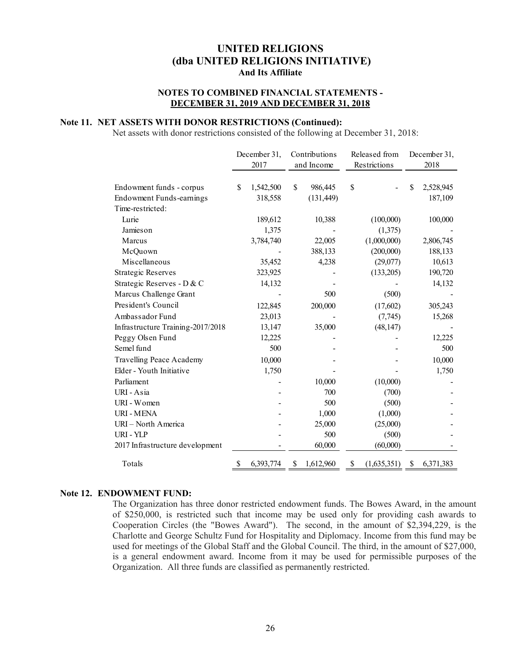# **NOTES TO COMBINED FINANCIAL STATEMENTS - DECEMBER 31, 2019 AND DECEMBER 31, 2018**

# **Note 11. NET ASSETS WITH DONOR RESTRICTIONS (Continued):**

Net assets with donor restrictions consisted of the following at December 31, 2018:

|                                   |    | December 31, | Contributions |            | Released from     |    | December 31, |  |
|-----------------------------------|----|--------------|---------------|------------|-------------------|----|--------------|--|
|                                   |    | 2017         |               | and Income | Restrictions      |    | 2018         |  |
| Endowment funds - corpus          | S  | 1,542,500    | \$            | 986,445    | \$                | S  | 2,528,945    |  |
| Endowment Funds-earnings          |    | 318,558      |               | (131, 449) |                   |    | 187,109      |  |
| Time-restricted:                  |    |              |               |            |                   |    |              |  |
| Lurie                             |    | 189,612      |               | 10,388     | (100,000)         |    | 100,000      |  |
| Jamieson                          |    | 1,375        |               |            | (1,375)           |    |              |  |
| Marcus                            |    | 3,784,740    |               | 22,005     | (1,000,000)       |    | 2,806,745    |  |
| McQuown                           |    |              |               | 388,133    | (200,000)         |    | 188,133      |  |
| Miscellaneous                     |    | 35,452       |               | 4,238      | (29,077)          |    | 10,613       |  |
| <b>Strategic Reserves</b>         |    | 323,925      |               |            | (133,205)         |    | 190,720      |  |
| Strategic Reserves - D & C        |    | 14,132       |               |            |                   |    | 14,132       |  |
| Marcus Challenge Grant            |    |              |               | 500        | (500)             |    |              |  |
| President's Council               |    | 122,845      |               | 200,000    | (17,602)          |    | 305,243      |  |
| Ambassador Fund                   |    | 23,013       |               |            | (7,745)           |    | 15,268       |  |
| Infrastructure Training-2017/2018 |    | 13,147       |               | 35,000     | (48, 147)         |    |              |  |
| Peggy Olsen Fund                  |    | 12,225       |               |            |                   |    | 12,225       |  |
| Semel fund                        |    | 500          |               |            |                   |    | 500          |  |
| Travelling Peace Academy          |    | 10,000       |               |            |                   |    | 10,000       |  |
| Elder - Youth Initiative          |    | 1,750        |               |            |                   |    | 1,750        |  |
| Parliament                        |    |              |               | 10,000     | (10,000)          |    |              |  |
| URI - Asia                        |    |              |               | 700        | (700)             |    |              |  |
| URI - Women                       |    |              |               | 500        | (500)             |    |              |  |
| <b>URI - MENA</b>                 |    |              |               | 1,000      | (1,000)           |    |              |  |
| URI - North America               |    |              |               | 25,000     | (25,000)          |    |              |  |
| URI - YLP                         |    |              |               | 500        | (500)             |    |              |  |
| 2017 Infrastructure development   |    |              |               | 60,000     | (60,000)          |    |              |  |
| Totals                            | \$ | 6,393,774    | \$            | 1,612,960  | \$<br>(1,635,351) | \$ | 6,371,383    |  |

#### **Note 12. ENDOWMENT FUND:**

The Organization has three donor restricted endowment funds. The Bowes Award, in the amount of \$250,000, is restricted such that income may be used only for providing cash awards to Cooperation Circles (the "Bowes Award"). The second, in the amount of \$2,394,229, is the Charlotte and George Schultz Fund for Hospitality and Diplomacy. Income from this fund may be used for meetings of the Global Staff and the Global Council. The third, in the amount of \$27,000, is a general endowment award. Income from it may be used for permissible purposes of the Organization. All three funds are classified as permanently restricted.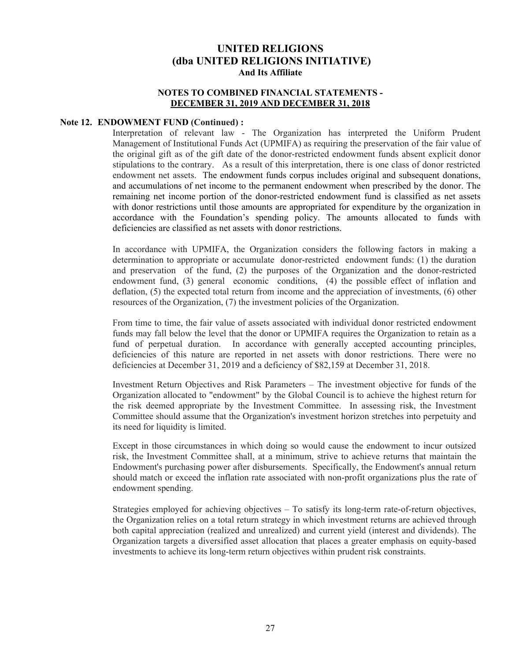# **NOTES TO COMBINED FINANCIAL STATEMENTS - DECEMBER 31, 2019 AND DECEMBER 31, 2018**

#### **Note 12. ENDOWMENT FUND (Continued) :**

Interpretation of relevant law - The Organization has interpreted the Uniform Prudent Management of Institutional Funds Act (UPMIFA) as requiring the preservation of the fair value of the original gift as of the gift date of the donor-restricted endowment funds absent explicit donor stipulations to the contrary. As a result of this interpretation, there is one class of donor restricted endowment net assets. The endowment funds corpus includes original and subsequent donations, and accumulations of net income to the permanent endowment when prescribed by the donor. The remaining net income portion of the donor-restricted endowment fund is classified as net assets with donor restrictions until those amounts are appropriated for expenditure by the organization in accordance with the Foundation's spending policy. The amounts allocated to funds with deficiencies are classified as net assets with donor restrictions.

In accordance with UPMIFA, the Organization considers the following factors in making a determination to appropriate or accumulate donor-restricted endowment funds: (1) the duration and preservation of the fund, (2) the purposes of the Organization and the donor-restricted endowment fund, (3) general economic conditions, (4) the possible effect of inflation and deflation, (5) the expected total return from income and the appreciation of investments, (6) other resources of the Organization, (7) the investment policies of the Organization.

From time to time, the fair value of assets associated with individual donor restricted endowment funds may fall below the level that the donor or UPMIFA requires the Organization to retain as a fund of perpetual duration. In accordance with generally accepted accounting principles, deficiencies of this nature are reported in net assets with donor restrictions. There were no deficiencies at December 31, 2019 and a deficiency of \$82,159 at December 31, 2018.

Investment Return Objectives and Risk Parameters – The investment objective for funds of the Organization allocated to "endowment" by the Global Council is to achieve the highest return for the risk deemed appropriate by the Investment Committee. In assessing risk, the Investment Committee should assume that the Organization's investment horizon stretches into perpetuity and its need for liquidity is limited.

Except in those circumstances in which doing so would cause the endowment to incur outsized risk, the Investment Committee shall, at a minimum, strive to achieve returns that maintain the Endowment's purchasing power after disbursements. Specifically, the Endowment's annual return should match or exceed the inflation rate associated with non-profit organizations plus the rate of endowment spending.

Strategies employed for achieving objectives – To satisfy its long-term rate-of-return objectives, the Organization relies on a total return strategy in which investment returns are achieved through both capital appreciation (realized and unrealized) and current yield (interest and dividends). The Organization targets a diversified asset allocation that places a greater emphasis on equity-based investments to achieve its long-term return objectives within prudent risk constraints.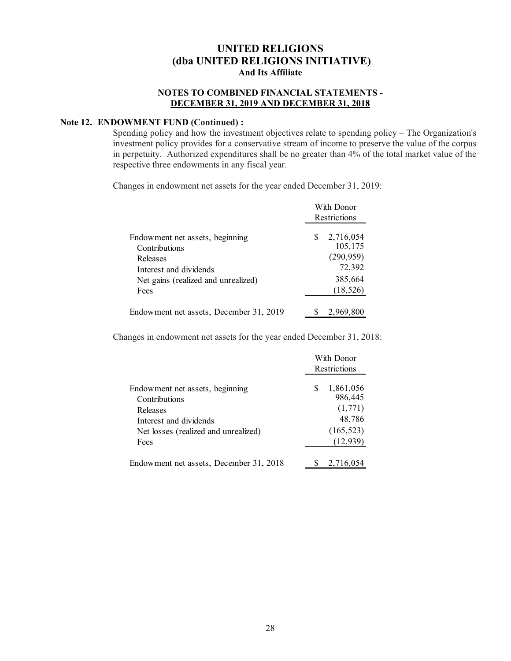# **NOTES TO COMBINED FINANCIAL STATEMENTS - DECEMBER 31, 2019 AND DECEMBER 31, 2018**

## **Note 12. ENDOWMENT FUND (Continued) :**

Spending policy and how the investment objectives relate to spending policy – The Organization's investment policy provides for a conservative stream of income to preserve the value of the corpus in perpetuity. Authorized expenditures shall be no greater than 4% of the total market value of the respective three endowments in any fiscal year.

Changes in endowment net assets for the year ended December 31, 2019:

|                                                                                                                                       | With Donor<br>Restrictions                                                 |  |  |  |
|---------------------------------------------------------------------------------------------------------------------------------------|----------------------------------------------------------------------------|--|--|--|
| Endowment net assets, beginning<br>Contributions<br>Releases<br>Interest and dividends<br>Net gains (realized and unrealized)<br>Fees | \$<br>2,716,054<br>105,175<br>(290, 959)<br>72,392<br>385,664<br>(18, 526) |  |  |  |
| Endowment net assets, December 31, 2019                                                                                               | 2,969,800                                                                  |  |  |  |

Changes in endowment net assets for the year ended December 31, 2018:

|                                                                                                                                        | With Donor<br>Restrictions |                                                                      |  |  |
|----------------------------------------------------------------------------------------------------------------------------------------|----------------------------|----------------------------------------------------------------------|--|--|
| Endowment net assets, beginning<br>Contributions<br>Releases<br>Interest and dividends<br>Net losses (realized and unrealized)<br>Fees | S                          | 1,861,056<br>986,445<br>(1,771)<br>48,786<br>(165, 523)<br>(12, 939) |  |  |
| Endowment net assets, December 31, 2018                                                                                                |                            | 2,716,054                                                            |  |  |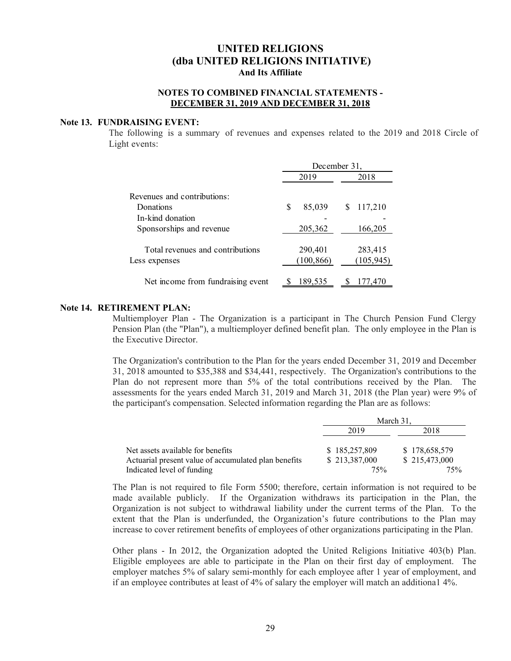#### **NOTES TO COMBINED FINANCIAL STATEMENTS - DECEMBER 31, 2019 AND DECEMBER 31, 2018**

#### **Note 13. FUNDRAISING EVENT:**

The following is a summary of revenues and expenses related to the 2019 and 2018 Circle of Light events:

|                                   | December 31, |              |  |  |
|-----------------------------------|--------------|--------------|--|--|
|                                   | 2019         | 2018         |  |  |
| Revenues and contributions:       |              |              |  |  |
| Donations                         | 85,039<br>S  | 117,210<br>S |  |  |
| In-kind donation                  |              |              |  |  |
| Sponsorships and revenue          | 205,362      | 166,205      |  |  |
| Total revenues and contributions  | 290,401      | 283,415      |  |  |
| Less expenses                     | (100, 866)   | (105, 945)   |  |  |
| Net income from fundraising event | 189,535      | 177,470      |  |  |

#### **Note 14. RETIREMENT PLAN:**

Multiemployer Plan - The Organization is a participant in The Church Pension Fund Clergy Pension Plan (the "Plan"), a multiemployer defined benefit plan. The only employee in the Plan is the Executive Director.

The Organization's contribution to the Plan for the years ended December 31, 2019 and December 31, 2018 amounted to \$35,388 and \$34,441, respectively. The Organization's contributions to the Plan do not represent more than 5% of the total contributions received by the Plan. The assessments for the years ended March 31, 2019 and March 31, 2018 (the Plan year) were 9% of the participant's compensation. Selected information regarding the Plan are as follows:

|                                                      | March 31.     |               |  |  |  |
|------------------------------------------------------|---------------|---------------|--|--|--|
|                                                      | 2019          | 2018          |  |  |  |
| Net assets available for benefits                    | \$185,257,809 | \$178,658,579 |  |  |  |
| Actuarial present value of accumulated plan benefits | \$213,387,000 | \$215,473,000 |  |  |  |
| Indicated level of funding                           | 75%           | 75%           |  |  |  |

The Plan is not required to file Form 5500; therefore, certain information is not required to be made available publicly. If the Organization withdraws its participation in the Plan, the Organization is not subject to withdrawal liability under the current terms of the Plan. To the extent that the Plan is underfunded, the Organization's future contributions to the Plan may increase to cover retirement benefits of employees of other organizations participating in the Plan.

Other plans - In 2012, the Organization adopted the United Religions Initiative 403(b) Plan. Eligible employees are able to participate in the Plan on their first day of employment. The employer matches 5% of salary semi-monthly for each employee after 1 year of employment, and if an employee contributes at least of 4% of salary the employer will match an additiona1 4%.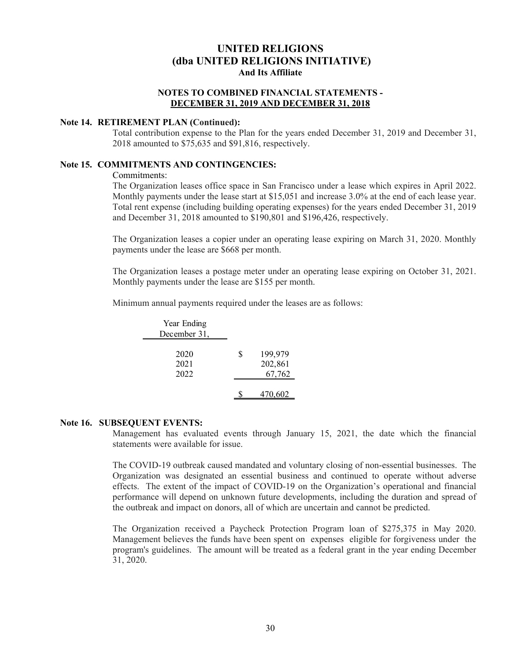# **NOTES TO COMBINED FINANCIAL STATEMENTS - DECEMBER 31, 2019 AND DECEMBER 31, 2018**

#### **Note 14. RETIREMENT PLAN (Continued):**

Total contribution expense to the Plan for the years ended December 31, 2019 and December 31, 2018 amounted to \$75,635 and \$91,816, respectively.

#### **Note 15. COMMITMENTS AND CONTINGENCIES:**

Commitments:

The Organization leases office space in San Francisco under a lease which expires in April 2022. Monthly payments under the lease start at \$15,051 and increase 3.0% at the end of each lease year. Total rent expense (including building operating expenses) for the years ended December 31, 2019 and December 31, 2018 amounted to \$190,801 and \$196,426, respectively.

The Organization leases a copier under an operating lease expiring on March 31, 2020. Monthly payments under the lease are \$668 per month.

The Organization leases a postage meter under an operating lease expiring on October 31, 2021. Monthly payments under the lease are \$155 per month.

Minimum annual payments required under the leases are as follows:

| Year Ending          |                                    |
|----------------------|------------------------------------|
| December 31,         |                                    |
| 2020<br>2021<br>2022 | \$<br>199,979<br>202,861<br>67,762 |
|                      | 470,602                            |

#### **Note 16. SUBSEQUENT EVENTS:**

Management has evaluated events through January 15, 2021, the date which the financial statements were available for issue.

The COVID-19 outbreak caused mandated and voluntary closing of non-essential businesses. The Organization was designated an essential business and continued to operate without adverse effects. The extent of the impact of COVID‐19 on the Organization's operational and financial performance will depend on unknown future developments, including the duration and spread of the outbreak and impact on donors, all of which are uncertain and cannot be predicted.

The Organization received a Paycheck Protection Program loan of \$275,375 in May 2020. Management believes the funds have been spent on expenses eligible for forgiveness under the program's guidelines. The amount will be treated as a federal grant in the year ending December 31, 2020.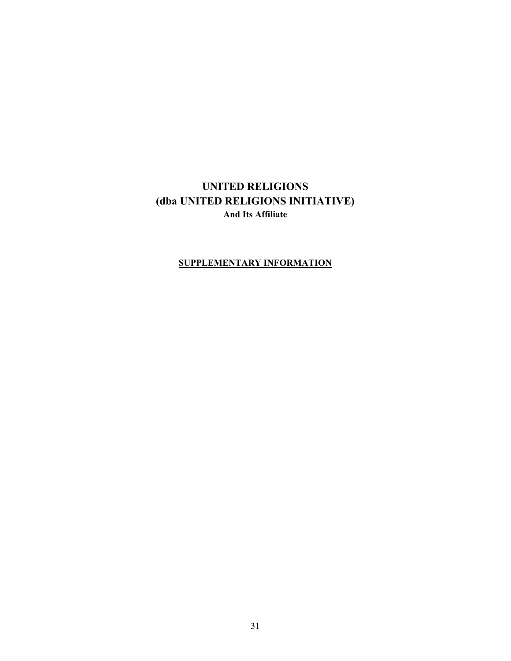# **SUPPLEMENTARY INFORMATION**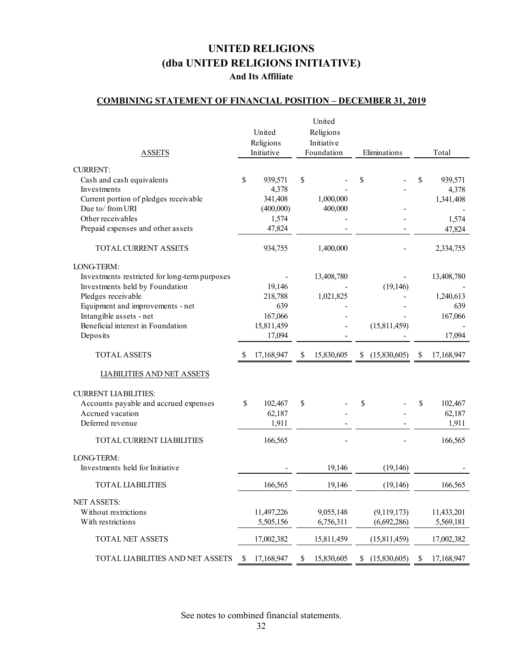# **COMBINING STATEMENT OF FINANCIAL POSITION – DECEMBER 31, 2019**

|                                               |    |            | United           |                    |                  |
|-----------------------------------------------|----|------------|------------------|--------------------|------------------|
|                                               |    | United     | Religions        |                    |                  |
|                                               |    | Religions  | Initiative       |                    |                  |
| <b>ASSETS</b>                                 |    | Initiative | Foundation       | Eliminations       | Total            |
|                                               |    |            |                  |                    |                  |
| <b>CURRENT:</b>                               |    |            |                  |                    |                  |
| Cash and cash equivalents                     | \$ | 939,571    | \$               | \$                 | \$<br>939,571    |
| Investments                                   |    | 4,378      |                  |                    | 4,378            |
| Current portion of pledges receivable         |    | 341,408    | 1,000,000        |                    | 1,341,408        |
| Due to/from URI                               |    | (400,000)  | 400,000          |                    |                  |
| Other receivables                             |    | 1,574      |                  |                    | 1,574            |
| Prepaid expenses and other assets             |    | 47,824     |                  |                    | 47,824           |
|                                               |    |            |                  |                    |                  |
| TOTAL CURRENT ASSETS                          |    | 934,755    | 1,400,000        |                    | 2,334,755        |
| LONG-TERM:                                    |    |            |                  |                    |                  |
| Investments restricted for long-term purposes |    |            | 13,408,780       |                    | 13,408,780       |
| Investments held by Foundation                |    | 19,146     |                  | (19, 146)          |                  |
| Pledges receivable                            |    | 218,788    | 1,021,825        |                    | 1,240,613        |
| Equipment and improvements - net              |    | 639        |                  |                    | 639              |
| Intangible assets - net                       |    | 167,066    |                  |                    | 167,066          |
| Beneficial interest in Foundation             |    |            |                  | (15, 811, 459)     |                  |
|                                               |    | 15,811,459 |                  |                    |                  |
| Deposits                                      |    | 17,094     |                  |                    | 17,094           |
| <b>TOTAL ASSETS</b>                           | S  | 17,168,947 | \$<br>15,830,605 | \$<br>(15,830,605) | \$<br>17,168,947 |
| <b>LIABILITIES AND NET ASSETS</b>             |    |            |                  |                    |                  |
|                                               |    |            |                  |                    |                  |
| <b>CURRENT LIABILITIES:</b>                   |    |            |                  |                    |                  |
| Accounts payable and accrued expenses         | \$ | 102,467    | \$               | \$                 | \$<br>102,467    |
| Accrued vacation                              |    | 62,187     |                  |                    | 62,187           |
| Deferred revenue                              |    | 1,911      |                  |                    | 1,911            |
|                                               |    |            |                  |                    |                  |
| TOTAL CURRENT LIABILITIES                     |    | 166,565    |                  |                    | 166,565          |
| LONG-TERM:                                    |    |            |                  |                    |                  |
| Investments held for Initiative               |    |            | 19,146           | (19, 146)          |                  |
| <b>TOTAL LIABILITIES</b>                      |    | 166,565    | 19,146           | (19, 146)          | 166,565          |
|                                               |    |            |                  |                    |                  |
| <b>NET ASSETS:</b>                            |    |            |                  |                    |                  |
| Without restrictions                          |    | 11,497,226 | 9,055,148        | (9,119,173)        | 11,433,201       |
| With restrictions                             |    | 5,505,156  | 6,756,311        | (6,692,286)        | 5,569,181        |
| <b>TOTAL NET ASSETS</b>                       |    | 17,002,382 | 15,811,459       | (15,811,459)       | 17,002,382       |
| TOTAL LIABILITIES AND NET ASSETS              | S  | 17,168,947 | \$<br>15,830,605 | \$<br>(15,830,605) | \$<br>17,168,947 |